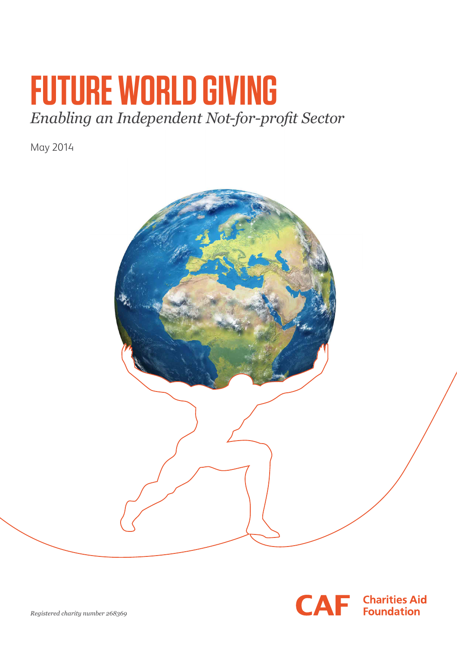# **FUTURE WORLD GIVING**  *Enabling an Independent Not-for-profit Sector*

May 2014



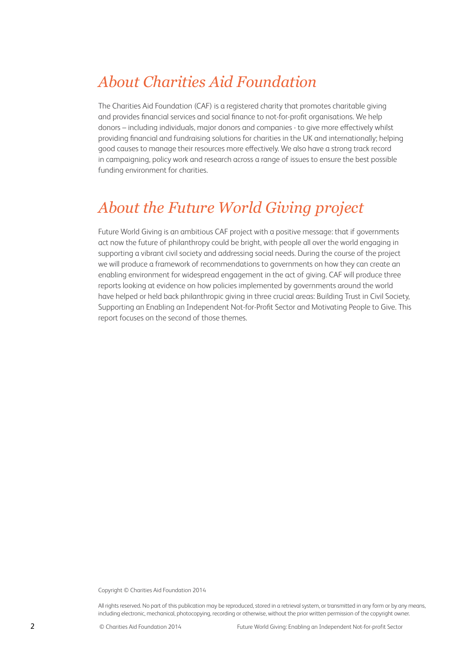### *About Charities Aid Foundation*

The Charities Aid Foundation (CAF) is a registered charity that promotes charitable giving and provides financial services and social finance to not-for-profit organisations. We help donors – including individuals, major donors and companies - to give more effectively whilst providing financial and fundraising solutions for charities in the UK and internationally; helping good causes to manage their resources more effectively. We also have a strong track record in campaigning, policy work and research across a range of issues to ensure the best possible funding environment for charities.

### *About the Future World Giving project*

Future World Giving is an ambitious CAF project with a positive message: that if governments act now the future of philanthropy could be bright, with people all over the world engaging in supporting a vibrant civil society and addressing social needs. During the course of the project we will produce a framework of recommendations to governments on how they can create an enabling environment for widespread engagement in the act of giving. CAF will produce three reports looking at evidence on how policies implemented by governments around the world have helped or held back philanthropic giving in three crucial areas: Building Trust in Civil Society, Supporting an Enabling an Independent Not-for-Profit Sector and Motivating People to Give. This report focuses on the second of those themes.

Copyright © Charities Aid Foundation 2014

All rights reserved. No part of this publication may be reproduced, stored in a retrieval system, or transmitted in any form or by any means, including electronic, mechanical, photocopying, recording or otherwise, without the prior written permission of the copyright owner.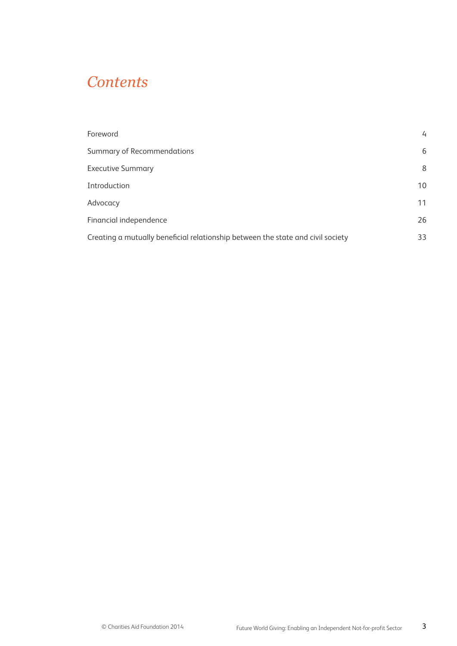### *Contents*

| Foreword                                                                        | $\overline{4}$ |
|---------------------------------------------------------------------------------|----------------|
| <b>Summary of Recommendations</b>                                               | 6              |
| <b>Executive Summary</b>                                                        | 8              |
| Introduction                                                                    | 10             |
| Advocacy                                                                        | 11             |
| Financial independence                                                          | 26             |
| Creating a mutually beneficial relationship between the state and civil society | 33             |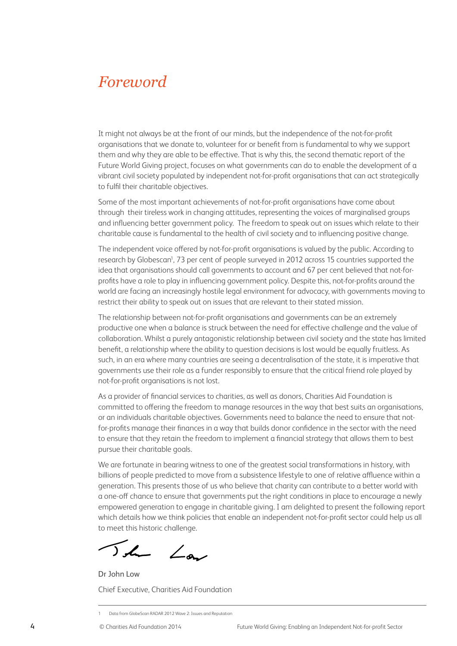### *Foreword*

It might not always be at the front of our minds, but the independence of the not-for-profit organisations that we donate to, volunteer for or benefit from is fundamental to why we support them and why they are able to be effective. That is why this, the second thematic report of the Future World Giving project, focuses on what governments can do to enable the development of a vibrant civil society populated by independent not-for-profit organisations that can act strategically to fulfil their charitable objectives.

Some of the most important achievements of not-for-profit organisations have come about through their tireless work in changing attitudes, representing the voices of marginalised groups and influencing better government policy. The freedom to speak out on issues which relate to their charitable cause is fundamental to the health of civil society and to influencing positive change.

The independent voice offered by not-for-profit organisations is valued by the public. According to research by Globescan<sup>1</sup>, 73 per cent of people surveyed in 2012 across 15 countries supported the idea that organisations should call governments to account and 67 per cent believed that not-forprofits have a role to play in influencing government policy. Despite this, not-for-profits around the world are facing an increasingly hostile legal environment for advocacy, with governments moving to restrict their ability to speak out on issues that are relevant to their stated mission.

The relationship between not-for-profit organisations and governments can be an extremely productive one when a balance is struck between the need for effective challenge and the value of collaboration. Whilst a purely antagonistic relationship between civil society and the state has limited benefit, a relationship where the ability to question decisions is lost would be equally fruitless. As such, in an era where many countries are seeing a decentralisation of the state, it is imperative that governments use their role as a funder responsibly to ensure that the critical friend role played by not-for-profit organisations is not lost.

As a provider of financial services to charities, as well as donors, Charities Aid Foundation is committed to offering the freedom to manage resources in the way that best suits an organisations, or an individuals charitable objectives. Governments need to balance the need to ensure that notfor-profits manage their finances in a way that builds donor confidence in the sector with the need to ensure that they retain the freedom to implement a financial strategy that allows them to best pursue their charitable goals.

We are fortunate in bearing witness to one of the greatest social transformations in history, with billions of people predicted to move from a subsistence lifestyle to one of relative affluence within a generation. This presents those of us who believe that charity can contribute to a better world with a one-off chance to ensure that governments put the right conditions in place to encourage a newly empowered generation to engage in charitable giving. I am delighted to present the following report which details how we think policies that enable an independent not-for-profit sector could help us all to meet this historic challenge.

The Law

Dr John Low Chief Executive, Charities Aid Foundation

<sup>1</sup> Data from GlobeScan RADAR 2012 Wave 2: Issues and Reputation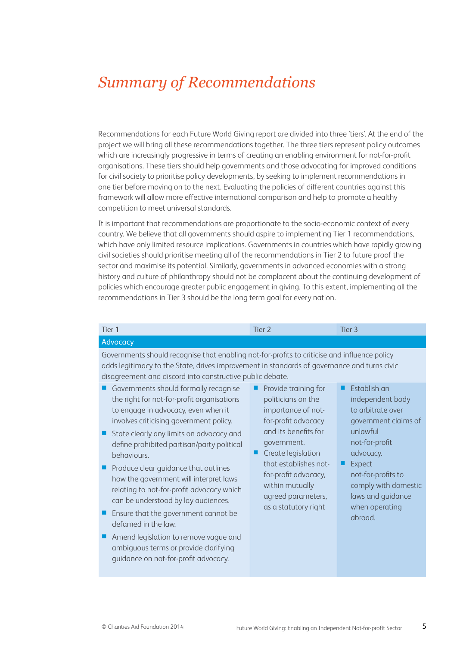## *Summary of Recommendations*

Recommendations for each Future World Giving report are divided into three 'tiers'. At the end of the project we will bring all these recommendations together. The three tiers represent policy outcomes which are increasingly progressive in terms of creating an enabling environment for not-for-profit organisations. These tiers should help governments and those advocating for improved conditions for civil society to prioritise policy developments, by seeking to implement recommendations in one tier before moving on to the next. Evaluating the policies of different countries against this framework will allow more effective international comparison and help to promote a healthy competition to meet universal standards.

It is important that recommendations are proportionate to the socio-economic context of every country. We believe that all governments should aspire to implementing Tier 1 recommendations, which have only limited resource implications. Governments in countries which have rapidly growing civil societies should prioritise meeting all of the recommendations in Tier 2 to future proof the sector and maximise its potential. Similarly, governments in advanced economies with a strong history and culture of philanthropy should not be complacent about the continuing development of policies which encourage greater public engagement in giving. To this extent, implementing all the recommendations in Tier 3 should be the long term goal for every nation.

| Tier <sub>1</sub>                                                                                                                                                                                                                                                                                                                                                                                                                                                                                                                                                                                                            | Tier <sub>2</sub>                                                                                                                                                                                     | Tier <sub>3</sub>                                                                                                                                        |
|------------------------------------------------------------------------------------------------------------------------------------------------------------------------------------------------------------------------------------------------------------------------------------------------------------------------------------------------------------------------------------------------------------------------------------------------------------------------------------------------------------------------------------------------------------------------------------------------------------------------------|-------------------------------------------------------------------------------------------------------------------------------------------------------------------------------------------------------|----------------------------------------------------------------------------------------------------------------------------------------------------------|
| Advocacy                                                                                                                                                                                                                                                                                                                                                                                                                                                                                                                                                                                                                     |                                                                                                                                                                                                       |                                                                                                                                                          |
| Governments should recognise that enabling not-for-profits to criticise and influence policy<br>adds legitimacy to the State, drives improvement in standards of governance and turns civic<br>disagreement and discord into constructive public debate.<br>Governments should formally recognise<br>the right for not-for-profit organisations<br>to engage in advocacy, even when it<br>involves criticising government policy.<br>State clearly any limits on advocacy and<br>define prohibited partisan/party political<br>behaviours.<br>Produce clear guidance that outlines<br>how the government will interpret laws | Provide training for<br>politicians on the<br>importance of not-<br>for-profit advocacy<br>and its benefits for<br>government.<br>Create legislation<br>that establishes not-<br>for-profit advocacy, | Fstablish an<br>independent body<br>to arbitrate over<br>government claims of<br>unlawful<br>not-for-profit<br>advocacy.<br>Expect<br>not-for-profits to |
| relating to not-for-profit advocacy which<br>can be understood by lay audiences.<br>Ensure that the government cannot be<br>defamed in the law.<br>Amend legislation to remove vague and<br>ambiguous terms or provide clarifying<br>guidance on not-for-profit advocacy.                                                                                                                                                                                                                                                                                                                                                    | within mutually<br>agreed parameters,<br>as a statutory right                                                                                                                                         | comply with domestic<br>laws and guidance<br>when operating<br>abroad.                                                                                   |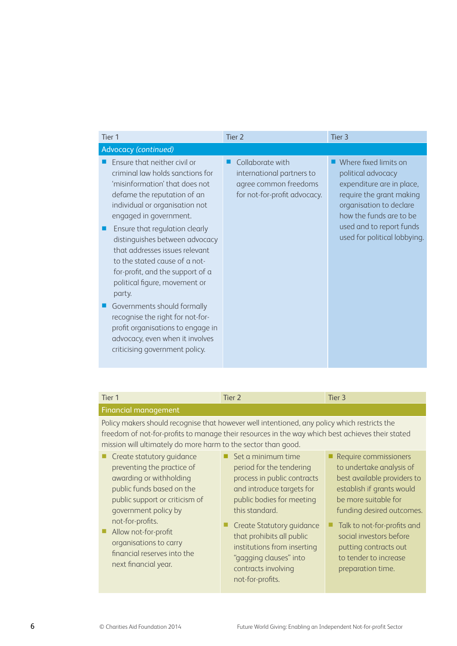| Tier <sub>1</sub>                                                                                                                                                                                                                                                                                                                                                                                                                                                                                                                                                                                | Tier <sub>2</sub>                                                                                      | Tier <sub>3</sub>                                                                                                                                                                                                      |
|--------------------------------------------------------------------------------------------------------------------------------------------------------------------------------------------------------------------------------------------------------------------------------------------------------------------------------------------------------------------------------------------------------------------------------------------------------------------------------------------------------------------------------------------------------------------------------------------------|--------------------------------------------------------------------------------------------------------|------------------------------------------------------------------------------------------------------------------------------------------------------------------------------------------------------------------------|
| Advocacy (continued)                                                                                                                                                                                                                                                                                                                                                                                                                                                                                                                                                                             |                                                                                                        |                                                                                                                                                                                                                        |
| Ensure that neither civil or<br>criminal law holds sanctions for<br>'misinformation' that does not<br>defame the reputation of an<br>individual or organisation not<br>engaged in government.<br>Ensure that regulation clearly<br>distinguishes between advocacy<br>that addresses issues relevant<br>to the stated cause of a not-<br>for-profit, and the support of a<br>political figure, movement or<br>party.<br>Governments should formally<br>recognise the right for not-for-<br>profit organisations to engage in<br>advocacy, even when it involves<br>criticising government policy. | Collaborate with<br>international partners to<br>agree common freedoms<br>for not-for-profit advocacy. | Where fixed limits on<br>political advocacy<br>expenditure are in place,<br>require the grant making<br>organisation to declare<br>how the funds are to be<br>used and to report funds<br>used for political lobbying. |

| Tier 1                                                                                           | Tier 2                      | Tier 3                      |
|--------------------------------------------------------------------------------------------------|-----------------------------|-----------------------------|
| Financial management                                                                             |                             |                             |
| Policy makers should recognise that however well intentioned, any policy which restricts the     |                             |                             |
| freedom of not-for-profits to manage their resources in the way which best achieves their stated |                             |                             |
| mission will ultimately do more harm to the sector than good.                                    |                             |                             |
| Create statutory guidance                                                                        | Set a minimum time          | Require commissioners       |
| preventing the practice of                                                                       | period for the tendering    | to undertake analysis of    |
| awarding or withholding                                                                          | process in public contracts | best available providers to |
| public funds hased on the                                                                        | and introduce targets for   | establish if arants would   |

- public funds based on the public support or criticism of government policy by not-for-profits.
- Allow not-for-profit organisations to carry financial reserves into the next financial year.
- and introduce targets for public bodies for meeting this standard.
- Create Statutory guidance Talk to not-for-profits and that prohibits all public institutions from inserting "gagging clauses" into contracts involving not-for-profits.
- establish if grants would be more suitable for funding desired outcomes.
	- social investors before putting contracts out to tender to increase preparation time.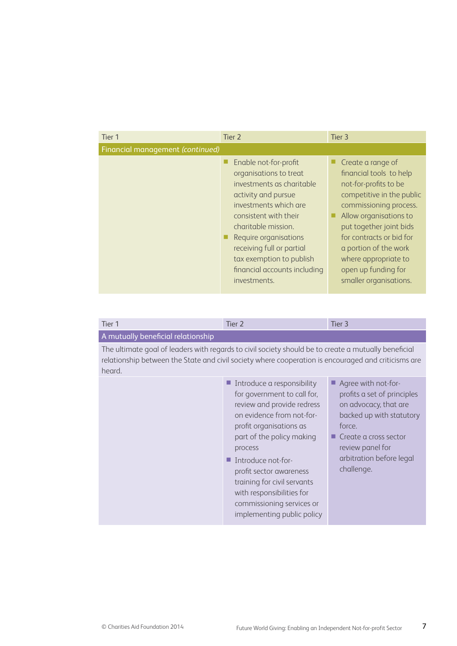| Tier 1                           | Tier 2                                                                                                                                                                                                                                                                                                         | Tier 3                                                                                                                                                                                                                                                                                                          |
|----------------------------------|----------------------------------------------------------------------------------------------------------------------------------------------------------------------------------------------------------------------------------------------------------------------------------------------------------------|-----------------------------------------------------------------------------------------------------------------------------------------------------------------------------------------------------------------------------------------------------------------------------------------------------------------|
| Financial management (continued) |                                                                                                                                                                                                                                                                                                                |                                                                                                                                                                                                                                                                                                                 |
|                                  | Enable not-for-profit<br>organisations to treat<br>investments as charitable<br>activity and pursue<br>investments which are<br>consistent with their<br>charitable mission.<br>Require organisations<br>receiving full or partial<br>tax exemption to publish<br>financial accounts including<br>investments. | Create a range of<br>financial tools to help<br>not-for-profits to be<br>competitive in the public<br>commissioning process.<br>Allow organisations to<br>put together joint bids<br>for contracts or bid for<br>a portion of the work<br>where appropriate to<br>open up funding for<br>smaller organisations. |

| Tier 1                                                                                                                                                                                                                | Tier <sub>2</sub>                                                                                                                                                                                                                                                                                                                                               | Tier <sub>3</sub>                                                                                                                                                                                        |  |
|-----------------------------------------------------------------------------------------------------------------------------------------------------------------------------------------------------------------------|-----------------------------------------------------------------------------------------------------------------------------------------------------------------------------------------------------------------------------------------------------------------------------------------------------------------------------------------------------------------|----------------------------------------------------------------------------------------------------------------------------------------------------------------------------------------------------------|--|
| A mutually beneficial relationship                                                                                                                                                                                    |                                                                                                                                                                                                                                                                                                                                                                 |                                                                                                                                                                                                          |  |
| The ultimate goal of leaders with regards to civil society should be to create a mutually beneficial<br>relationship between the State and civil society where cooperation is encouraged and criticisms are<br>heard. |                                                                                                                                                                                                                                                                                                                                                                 |                                                                                                                                                                                                          |  |
|                                                                                                                                                                                                                       | Introduce a responsibility<br>for government to call for,<br>review and provide redress<br>on evidence from not-for-<br>profit organisations as<br>part of the policy making<br>process<br>Introduce not-for-<br>profit sector awareness<br>training for civil servants<br>with responsibilities for<br>commissioning services or<br>implementing public policy | Agree with not-for-<br>profits a set of principles<br>on advocacy, that are<br>backed up with statutory<br>force.<br>Create a cross sector<br>review panel for<br>arbitration before legal<br>challenge. |  |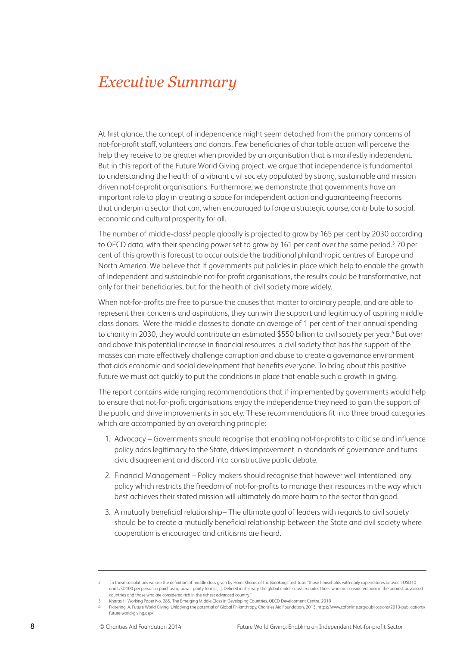### *Executive Summary*

At first glance, the concept of independence might seem detached from the primary concerns of not-for-profit staff, volunteers and donors. Few beneficiaries of charitable action will perceive the help they receive to be greater when provided by an organisation that is manifestly independent. But in this report of the Future World Giving project, we argue that independence is fundamental to understanding the health of a vibrant civil society populated by strong, sustainable and mission driven not-for-profit organisations. Furthermore, we demonstrate that governments have an important role to play in creating a space for independent action and guaranteeing freedoms that underpin a sector that can, when encouraged to forge a strategic course, contribute to social, economic and cultural prosperity for all.

The number of middle-class<sup>2</sup> people globally is projected to grow by 165 per cent by 2030 according to OECD data, with their spending power set to grow by 161 per cent over the same period.3 70 per cent of this growth is forecast to occur outside the traditional philanthropic centres of Europe and North America. We believe that if governments put policies in place which help to enable the growth of independent and sustainable not-for-profit organisations, the results could be transformative, not only for their beneficiaries, but for the health of civil society more widely.

When not-for-profits are free to pursue the causes that matter to ordinary people, and are able to represent their concerns and aspirations, they can win the support and legitimacy of aspiring middle class donors. Were the middle classes to donate an average of 1 per cent of their annual spending to charity in 2030, they would contribute an estimated  $$550$  billion to civil society per year. $^4$  But over and above this potential increase in financial resources, a civil society that has the support of the masses can more effectively challenge corruption and abuse to create a governance environment that aids economic and social development that benefits everyone. To bring about this positive future we must act quickly to put the conditions in place that enable such a growth in giving.

The report contains wide ranging recommendations that if implemented by governments would help to ensure that not-for-profit organisations enjoy the independence they need to gain the support of the public and drive improvements in society. These recommendations fit into three broad categories which are accompanied by an overarching principle:

- 1. Advocacy Governments should recognise that enabling not-for-profits to criticise and influence policy adds legitimacy to the State, drives improvement in standards of governance and turns civic disagreement and discord into constructive public debate.
- 2. Financial Management Policy makers should recognise that however well intentioned, any policy which restricts the freedom of not-for-profits to manage their resources in the way which best achieves their stated mission will ultimately do more harm to the sector than good.
- 3. A mutually beneficial relationship– The ultimate goal of leaders with regards to civil society should be to create a mutually beneficial relationship between the State and civil society where cooperation is encouraged and criticisms are heard.

<sup>2</sup> In these calculations we use the definition of middle class given by Homi Kharas of the Brookings Institute: "those households with daily expenditures between USD10 and USD100 per person in purchasing power parity terms [...]. Defined in this way, the global middle class excludes those who are considered poor in the poorest advanced countries and those who are considered rich in the richest advanced country."

<sup>3</sup> Kharas H, Working Paper No. 285, The Emerging Middle Class in Developing Countries, OECD Development Centre, 2010

<sup>4</sup> Pickering. A, Future World Giving: Unlocking the potential of Global Philanthropy, Charities Aid Foundation, 2013, https://www.cafonline.org/publications/2013-publications/ future-world-giving.aspx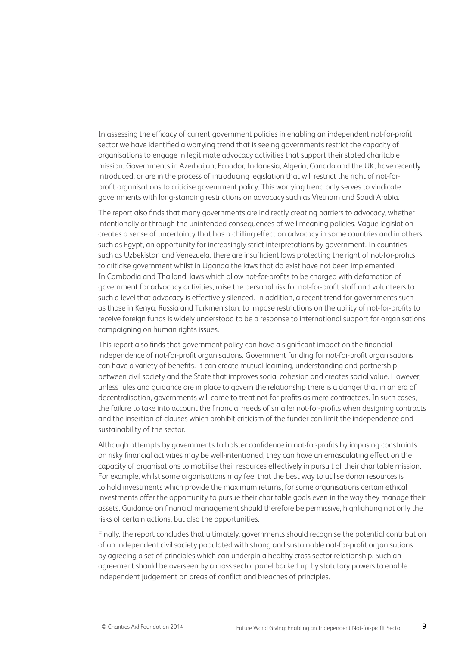In assessing the efficacy of current government policies in enabling an independent not-for-profit sector we have identified a worrying trend that is seeing governments restrict the capacity of organisations to engage in legitimate advocacy activities that support their stated charitable mission. Governments in Azerbaijan, Ecuador, Indonesia, Algeria, Canada and the UK, have recently introduced, or are in the process of introducing legislation that will restrict the right of not-forprofit organisations to criticise government policy. This worrying trend only serves to vindicate governments with long-standing restrictions on advocacy such as Vietnam and Saudi Arabia.

The report also finds that many governments are indirectly creating barriers to advocacy, whether intentionally or through the unintended consequences of well meaning policies. Vague legislation creates a sense of uncertainty that has a chilling effect on advocacy in some countries and in others, such as Egypt, an opportunity for increasingly strict interpretations by government. In countries such as Uzbekistan and Venezuela, there are insufficient laws protecting the right of not-for-profits to criticise government whilst in Uganda the laws that do exist have not been implemented. In Cambodia and Thailand, laws which allow not-for-profits to be charged with defamation of government for advocacy activities, raise the personal risk for not-for-profit staff and volunteers to such a level that advocacy is effectively silenced. In addition, a recent trend for governments such as those in Kenya, Russia and Turkmenistan, to impose restrictions on the ability of not-for-profits to receive foreign funds is widely understood to be a response to international support for organisations campaigning on human rights issues.

This report also finds that government policy can have a significant impact on the financial independence of not-for-profit organisations. Government funding for not-for-profit organisations can have a variety of benefits. It can create mutual learning, understanding and partnership between civil society and the State that improves social cohesion and creates social value. However, unless rules and guidance are in place to govern the relationship there is a danger that in an era of decentralisation, governments will come to treat not-for-profits as mere contractees. In such cases, the failure to take into account the financial needs of smaller not-for-profits when designing contracts and the insertion of clauses which prohibit criticism of the funder can limit the independence and sustainability of the sector.

Although attempts by governments to bolster confidence in not-for-profits by imposing constraints on risky financial activities may be well-intentioned, they can have an emasculating effect on the capacity of organisations to mobilise their resources effectively in pursuit of their charitable mission. For example, whilst some organisations may feel that the best way to utilise donor resources is to hold investments which provide the maximum returns, for some organisations certain ethical investments offer the opportunity to pursue their charitable goals even in the way they manage their assets. Guidance on financial management should therefore be permissive, highlighting not only the risks of certain actions, but also the opportunities.

Finally, the report concludes that ultimately, governments should recognise the potential contribution of an independent civil society populated with strong and sustainable not-for-profit organisations by agreeing a set of principles which can underpin a healthy cross sector relationship. Such an agreement should be overseen by a cross sector panel backed up by statutory powers to enable independent judgement on areas of conflict and breaches of principles.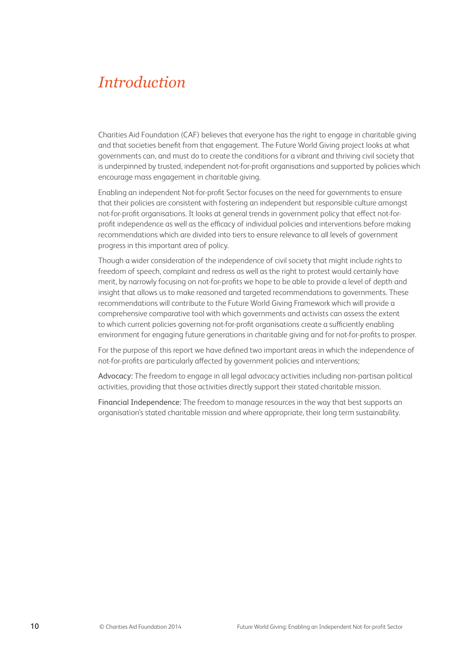### *Introduction*

Charities Aid Foundation (CAF) believes that everyone has the right to engage in charitable giving and that societies benefit from that engagement. The Future World Giving project looks at what governments can, and must do to create the conditions for a vibrant and thriving civil society that is underpinned by trusted, independent not-for-profit organisations and supported by policies which encourage mass engagement in charitable giving.

Enabling an independent Not-for-profit Sector focuses on the need for governments to ensure that their policies are consistent with fostering an independent but responsible culture amongst not-for-profit organisations. It looks at general trends in government policy that effect not-forprofit independence as well as the efficacy of individual policies and interventions before making recommendations which are divided into tiers to ensure relevance to all levels of government progress in this important area of policy.

Though a wider consideration of the independence of civil society that might include rights to freedom of speech, complaint and redress as well as the right to protest would certainly have merit, by narrowly focusing on not-for-profits we hope to be able to provide a level of depth and insight that allows us to make reasoned and targeted recommendations to governments. These recommendations will contribute to the Future World Giving Framework which will provide a comprehensive comparative tool with which governments and activists can assess the extent to which current policies governing not-for-profit organisations create a sufficiently enabling environment for engaging future generations in charitable giving and for not-for-profits to prosper.

For the purpose of this report we have defined two important areas in which the independence of not-for-profits are particularly affected by government policies and interventions;

Advocacy: The freedom to engage in all legal advocacy activities including non-partisan political activities, providing that those activities directly support their stated charitable mission.

Financial Independence: The freedom to manage resources in the way that best supports an organisation's stated charitable mission and where appropriate, their long term sustainability.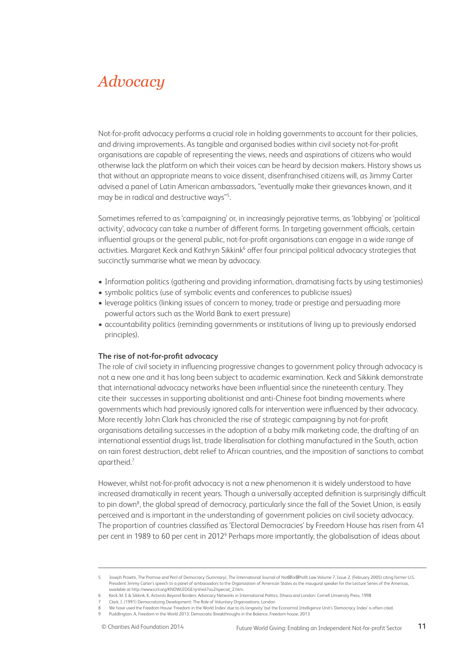### *Advocacy*

Not-for-profit advocacy performs a crucial role in holding governments to account for their policies, and driving improvements. As tangible and organised bodies within civil society not-for-profit organisations are capable of representing the views, needs and aspirations of citizens who would otherwise lack the platform on which their voices can be heard by decision makers. History shows us that without an appropriate means to voice dissent, disenfranchised citizens will, as Jimmy Carter advised a panel of Latin American ambassadors, "eventually make their grievances known, and it may be in radical and destructive ways"5 .

Sometimes referred to as 'campaigning' or, in increasingly pejorative terms, as 'lobbying' or 'political activity', advocacy can take a number of different forms. In targeting government officials, certain influential groups or the general public, not-for-profit organisations can engage in a wide range of activities. Margaret Keck and Kathryn Sikkink<sup>6</sup> offer four principal political advocacy strategies that succinctly summarise what we mean by advocacy.

- Information politics (gathering and providing information, dramatising facts by using testimonies)
- symbolic politics (use of symbolic events and conferences to publicise issues)
- leverage politics (linking issues of concern to money, trade or prestige and persuading more powerful actors such as the World Bank to exert pressure)
- accountability politics (reminding governments or institutions of living up to previously endorsed principles).

#### **The rise of not-for-profit advocacy**

The role of civil society in influencing progressive changes to government policy through advocacy is not a new one and it has long been subject to academic examination. Keck and Sikkink demonstrate that international advocacy networks have been influential since the nineteenth century. They cite their successes in supporting abolitionist and anti-Chinese foot binding movements where governments which had previously ignored calls for intervention were influenced by their advocacy. More recently John Clark has chronicled the rise of strategic campaigning by not-for-profit organisations detailing successes in the adoption of a baby milk marketing code, the drafting of an international essential drugs list, trade liberalisation for clothing manufactured in the South, action on rain forest destruction, debt relief to African countries, and the imposition of sanctions to combat apartheid.7

However, whilst not-for-profit advocacy is not a new phenomenon it is widely understood to have increased dramatically in recent years. Though a universally accepted definition is surprisingly difficult to pin down<sup>8</sup>, the global spread of democracy, particularly since the fall of the Soviet Union, is easily perceived and is important in the understanding of government policies on civil society advocacy. The proportion of countries classified as 'Electoral Democracies' by Freedom House has risen from 41 per cent in 1989 to 60 per cent in 2012<sup>9</sup> Perhaps more importantly, the globalisation of ideas about

7 Clark, J. (1991) Democratizing Development: The Role of Voluntary Organisations, London

<sup>5</sup> Joseph Projetti, The Promise and Peril of Democracy (Summary), The International Journal of Not–for–Profit Law Volume 7, Issue 2, (February 2005) citing former U.S. President Jimmy Carter's speech to a panel of ambassadors to the Organization of American States as the inaugural speaker for the Lecture Series of the Americas, available at http://www.icnl.org/KNOWLEDGE/ijnl/vol7iss2/special\_2.htm.

<sup>6</sup> Keck. M. E & Sikkink. K, Activists Beyond Borders: Advocacy Networks in International Politics, Ithaca and London: Cornell University Press, 1998

<sup>8</sup> We have used the Freedom House 'Freedom in the World Index' due to its longevity' but the Economist Intelligence Unit's 'Democracy Index' is often cited.

<sup>9</sup> Puddlington. A, Freedom in the World 2013: Democratic Breakthroughs in the Balance, Freedom house, 2013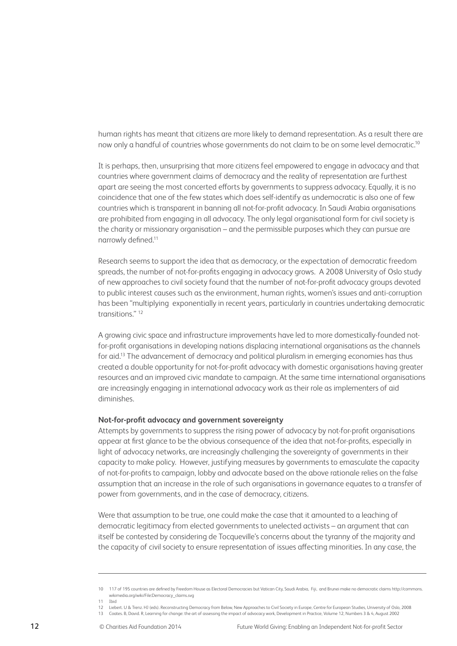human rights has meant that citizens are more likely to demand representation. As a result there are now only a handful of countries whose governments do not claim to be on some level democratic.<sup>10</sup>

It is perhaps, then, unsurprising that more citizens feel empowered to engage in advocacy and that countries where government claims of democracy and the reality of representation are furthest apart are seeing the most concerted efforts by governments to suppress advocacy. Equally, it is no coincidence that one of the few states which does self-identify as undemocratic is also one of few countries which is transparent in banning all not-for-profit advocacy. In Saudi Arabia organisations are prohibited from engaging in all advocacy. The only legal organisational form for civil society is the charity or missionary organisation – and the permissible purposes which they can pursue are narrowly defined.11

Research seems to support the idea that as democracy, or the expectation of democratic freedom spreads, the number of not-for-profits engaging in advocacy grows. A 2008 University of Oslo study of new approaches to civil society found that the number of not-for-profit advocacy groups devoted to public interest causes such as the environment, human rights, women's issues and anti-corruption has been "multiplying exponentially in recent years, particularly in countries undertaking democratic transitions." 12

A growing civic space and infrastructure improvements have led to more domestically-founded notfor-profit organisations in developing nations displacing international organisations as the channels for aid.13 The advancement of democracy and political pluralism in emerging economies has thus created a double opportunity for not-for-profit advocacy with domestic organisations having greater resources and an improved civic mandate to campaign. At the same time international organisations are increasingly engaging in international advocacy work as their role as implementers of aid diminishes.

#### **Not-for-profit advocacy and government sovereignty**

Attempts by governments to suppress the rising power of advocacy by not-for-profit organisations appear at first glance to be the obvious consequence of the idea that not-for-profits, especially in light of advocacy networks, are increasingly challenging the sovereignty of governments in their capacity to make policy. However, justifying measures by governments to emasculate the capacity of not-for-profits to campaign, lobby and advocate based on the above rationale relies on the false assumption that an increase in the role of such organisations in governance equates to a transfer of power from governments, and in the case of democracy, citizens.

Were that assumption to be true, one could make the case that it amounted to a leaching of democratic legitimacy from elected governments to unelected activists – an argument that can itself be contested by considering de Tocqueville's concerns about the tyranny of the majority and the capacity of civil society to ensure representation of issues affecting minorities. In any case, the

<sup>10 117</sup> of 195 countries are defined by Freedom House as Electoral Democracies but Vatican City, Saudi Arabia, Fiji, and Brunei make no democratic claims http://commons. wikimedia.org/wiki/File:Democracy\_claims.svg

<sup>11</sup> Ibid

<sup>12</sup> Liebert. U & Trenz. HJ (eds). Reconstructing Democracy from Below, New Approaches to Civil Society in Europe, Centre for European Studies, University of Oslo, 2008

<sup>13</sup> Coates. B, David. R, Learning for change: the art of assessing the impact of advocacy work, Development in Practice, Volume 12, Numbers 3 & 4, August 2002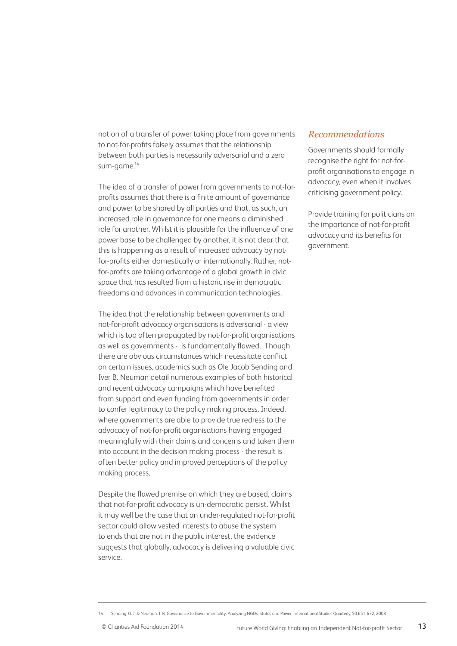notion of a transfer of power taking place from governments to not-for-profits falsely assumes that the relationship between both parties is necessarily adversarial and a zero sum-game.<sup>14</sup>

The idea of a transfer of power from governments to not-forprofits assumes that there is a finite amount of governance and power to be shared by all parties and that, as such, an increased role in governance for one means a diminished role for another. Whilst it is plausible for the influence of one power base to be challenged by another, it is not clear that this is happening as a result of increased advocacy by notfor-profits either domestically or internationally. Rather, notfor-profits are taking advantage of a global growth in civic space that has resulted from a historic rise in democratic freedoms and advances in communication technologies.

The idea that the relationship between governments and not-for-profit advocacy organisations is adversarial - a view which is too often propagated by not-for-profit organisations as well as governments - is fundamentally flawed. Though there are obvious circumstances which necessitate conflict on certain issues, academics such as Ole Jacob Sending and Iver B. Neuman detail numerous examples of both historical and recent advocacy campaigns which have benefited from support and even funding from governments in order to confer legitimacy to the policy making process. Indeed, where governments are able to provide true redress to the advocacy of not-for-profit organisations having engaged meaningfully with their claims and concerns and taken them into account in the decision making process - the result is often better policy and improved perceptions of the policy making process.

Despite the flawed premise on which they are based, claims that not-for-profit advocacy is un-democratic persist. Whilst it may well be the case that an under-regulated not-for-profit sector could allow vested interests to abuse the system to ends that are not in the public interest, the evidence suggests that globally, advocacy is delivering a valuable civic service.

#### *Recommendations*

Governments should formally recognise the right for not-forprofit organisations to engage in advocacy, even when it involves criticising government policy.

Provide training for politicians on the importance of not-for-profit advocacy and its benefits for government.

<sup>14</sup> Sending. O. J. & Neuman. I. B, Governance to Governmentality: Analyzing NGOs, States and Power, International Studies Quarterly, 50,651-672, 2008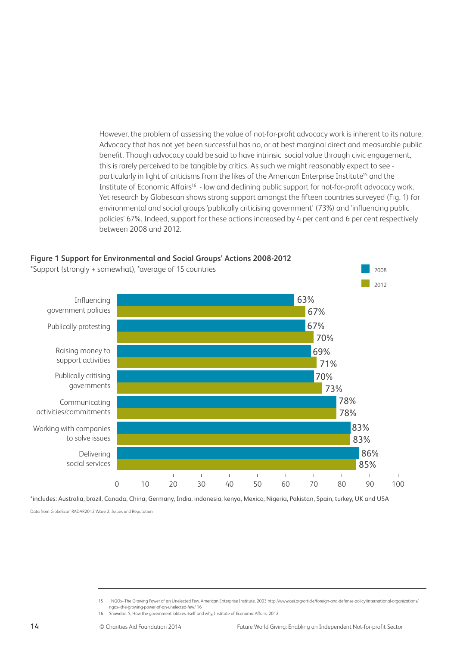However, the problem of assessing the value of not-for-profit advocacy work is inherent to its nature. Advocacy that has not yet been successful has no, or at best marginal direct and measurable public benefit. Though advocacy could be said to have intrinsic social value through civic engagement, this is rarely perceived to be tangible by critics. As such we might reasonably expect to see particularly in light of criticisms from the likes of the American Enterprise Institute<sup>15</sup> and the Institute of Economic Affairs16 - low and declining public support for not-for-profit advocacy work. Yet research by Globescan shows strong support amongst the fifteen countries surveyed (Fig. 1) for environmental and social groups 'publically criticising government' (73%) and 'influencing public policies' 67%. Indeed, support for these actions increased by 4 per cent and 6 per cent respectively between 2008 and 2012.



\*includes: Australia, brazil, Canada, China, Germany, India, indonesia, kenya, Mexico, Nigeria, Pakistan, Spain, turkey, UK and USA

Data from GlobeScan RADAR2012 Wave 2: Issues and Reputation

16 Snowdon. S, How the government lobbies itself and why, Institute of Economic Affairs, 2012

<sup>15</sup> NGOs--The Growing Power of an Unelected Few, American Enterprise Institute, 2003 http://www.aei.org/article/foreign-and-defense-policy/international-organizations/ ngos--the-growing-power-of-an-unelected-few/ 16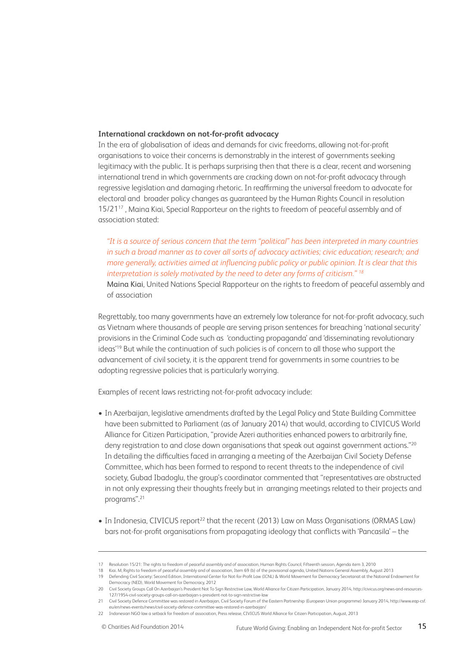#### **International crackdown on not-for-profit advocacy**

In the era of globalisation of ideas and demands for civic freedoms, allowing not-for-profit organisations to voice their concerns is demonstrably in the interest of governments seeking legitimacy with the public. It is perhaps surprising then that there is a clear, recent and worsening international trend in which governments are cracking down on not-for-profit advocacy through regressive legislation and damaging rhetoric. In reaffirming the universal freedom to advocate for electoral and broader policy changes as guaranteed by the Human Rights Council in resolution 15/2117 , Maina Kiai, Special Rapporteur on the rights to freedom of peaceful assembly and of association stated:

*"It is a source of serious concern that the term "political" has been interpreted in many countries in such a broad manner as to cover all sorts of advocacy activities; civic education; research; and more generally, activities aimed at influencing public policy or public opinion. It is clear that this interpretation is solely motivated by the need to deter any forms of criticism." 18*

Maina Kiai, United Nations Special Rapporteur on the rights to freedom of peaceful assembly and of association

Regrettably, too many governments have an extremely low tolerance for not-for-profit advocacy, such as Vietnam where thousands of people are serving prison sentences for breaching 'national security' provisions in the Criminal Code such as 'conducting propaganda' and 'disseminating revolutionary ideas'19 But while the continuation of such policies is of concern to all those who support the advancement of civil society, it is the apparent trend for governments in some countries to be adopting regressive policies that is particularly worrying.

Examples of recent laws restricting not-for-profit advocacy include:

- In Azerbaijan, legislative amendments drafted by the Legal Policy and State Building Committee have been submitted to Parliament (as of January 2014) that would, according to CIVICUS World Alliance for Citizen Participation, "provide Azeri authorities enhanced powers to arbitrarily fine, deny registration to and close down organisations that speak out against government actions."<sup>20</sup> In detailing the difficulties faced in arranging a meeting of the Azerbaijan Civil Society Defense Committee, which has been formed to respond to recent threats to the independence of civil society, Gubad Ibadoglu, the group's coordinator commented that "representatives are obstructed in not only expressing their thoughts freely but in arranging meetings related to their projects and programs".21
- In Indonesia, CIVICUS report<sup>22</sup> that the recent (2013) Law on Mass Organisations (ORMAS Law) bars not-for-profit organisations from propagating ideology that conflicts with 'Pancasila' – the

<sup>17</sup> Resolution 15/21: The rights to freedom of peaceful assembly and of association, Human Rights Council, Fifteenth session, Agenda item 3, 2010

<sup>18</sup> Kiai. M, Rights to freedom of peaceful assembly and of association, Item 69 (b) of the provisional agenda, United Nations General Assembly, August 2013

<sup>19</sup> Defending Civil Society: Second Edition, International Center for Not-for-Profit Law (ICNL) & World Movement for Democracy Secretariat at the National Endowment for Democracy (NED), World Movement for Democracy, 2012

<sup>20</sup> Civil Society Groups Call On Azerbaijan's President Not To Sign Restrictive Law, World Alliance for Citizen Participation, January 2014, http://civicus.org/news-and-resources-127/1954-civil-society-groups-call-on-azerbaijan-s-president-not-to-sign-restrictive-law

<sup>21</sup> Civil Society Defence Committee was restored in Azerbaijan, Civil Society Forum of the Eastern Partnership (European Union programme) January 2014, http://www.eap-csf. eu/en/news-events/news/civil-society-defence-committee-was-restored-in-azerbaijan/

<sup>22</sup> Indonesian NGO law a setback for freedom of association, Press release, CIVICUS World Alliance for Citizen Participation, August, 2013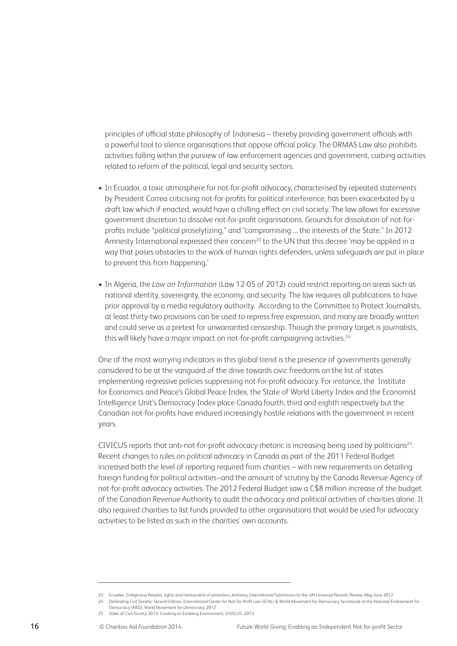principles of official state philosophy of Indonesia – thereby providing government officials with a powerful tool to silence organisations that oppose official policy. The ORMAS Law also prohibits activities falling within the purview of law enforcement agencies and government, curbing activities related to reform of the political, legal and security sectors.

- In Ecuador, a toxic atmosphere for not-for-profit advocacy, characterised by repeated statements by President Correa criticising not-for-profits for political interference, has been exacerbated by a draft law which if enacted, would have a chilling effect on civil society. The law allows for excessive government discretion to dissolve not-for-profit organisations. Grounds for dissolution of not-forprofits include "political proselytizing," and "compromising … the interests of the State." In 2012 Amnesty International expressed their concern<sup>23</sup> to the UN that this decree 'may be applied in a way that poses obstacles to the work of human rights defenders, unless safeguards are put in place to prevent this from happening.'
- In Algeria, the *Law on Information* (Law 12-05 of 2012) could restrict reporting on areas such as national identity, sovereignty, the economy, and security. The law requires all publications to have prior approval by a media regulatory authority. According to the Committee to Protect Journalists, at least thirty-two provisions can be used to repress free expression, and many are broadly written and could serve as a pretext for unwarranted censorship. Though the primary target is journalists, this will likely have a major impact on not-for-profit campaigning activities.<sup>24</sup>

One of the most worrying indicators in this global trend is the presence of governments generally considered to be at the vanguard of the drive towards civic freedoms on the list of states implementing regressive policies suppressing not-for-profit advocacy. For instance, the Institute for Economics and Peace's Global Peace Index, the State of World Liberty Index and the Economist Intelligence Unit's Democracy Index place Canada fourth, third and eighth respectively but the Canadian not-for-profits have endured increasingly hostile relations with the government in recent years.

CIVICUS reports that anti-not-for-profit advocacy rhetoric is increasing being used by politicians25. Recent changes to rules on political advocacy in Canada as part of the 2011 Federal Budget increased both the level of reporting required from charities − with new requirements on detailing foreign funding for political activities−and the amount of scrutiny by the Canada Revenue Agency of not-for-profit advocacy activities. The 2012 Federal Budget saw a C\$8 million increase of the budget of the Canadian Revenue Authority to audit the advocacy and political activities of charities alone. It also required charities to list funds provided to other organisations that would be used for advocacy activities to be listed as such in the charities' own accounts.

<sup>23</sup> Ecuador: Indigenous Peoples' rights and harassment of protesters, Amnesty International Submission to the UN Universal Periodic Review, May-June 2012 24 Defending Civil Society: Second Edition, International Center for Not-for-Profit Law (ICNL) & World Movement for Democracy Secretariat at the National Endowment for

Democracy (NED), World Movement for Democracy, 2012

<sup>25</sup> State of Civil Society 2013: Creating an Enabling Environment, CIVICUS, 2013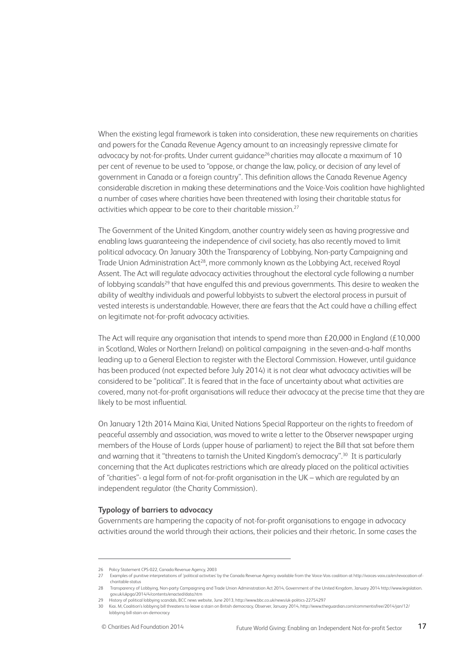When the existing legal framework is taken into consideration, these new requirements on charities and powers for the Canada Revenue Agency amount to an increasingly repressive climate for advocacy by not-for-profits. Under current quidance<sup>26</sup> charities may allocate a maximum of 10 per cent of revenue to be used to "oppose, or change the law, policy, or decision of any level of government in Canada or a foreign country". This definition allows the Canada Revenue Agency considerable discretion in making these determinations and the Voice-Vois coalition have highlighted a number of cases where charities have been threatened with losing their charitable status for activities which appear to be core to their charitable mission.<sup>27</sup>

The Government of the United Kingdom, another country widely seen as having progressive and enabling laws guaranteeing the independence of civil society, has also recently moved to limit political advocacy. On January 30th the Transparency of Lobbying, Non-party Campaigning and Trade Union Administration Act<sup>28</sup>, more commonly known as the Lobbying Act, received Royal Assent. The Act will regulate advocacy activities throughout the electoral cycle following a number of lobbying scandals<sup>29</sup> that have engulfed this and previous governments. This desire to weaken the ability of wealthy individuals and powerful lobbyists to subvert the electoral process in pursuit of vested interests is understandable. However, there are fears that the Act could have a chilling effect on legitimate not-for-profit advocacy activities.

The Act will require any organisation that intends to spend more than £20,000 in England (£10,000 in Scotland, Wales or Northern Ireland) on political campaigning in the seven-and-a-half months leading up to a General Election to register with the Electoral Commission. However, until guidance has been produced (not expected before July 2014) it is not clear what advocacy activities will be considered to be "political". It is feared that in the face of uncertainty about what activities are covered, many not-for-profit organisations will reduce their advocacy at the precise time that they are likely to be most influential.

On January 12th 2014 Maina Kiai, United Nations Special Rapporteur on the rights to freedom of peaceful assembly and association, was moved to write a letter to the Observer newspaper urging members of the House of Lords (upper house of parliament) to reject the Bill that sat before them and warning that it "threatens to tarnish the United Kingdom's democracy".30 It is particularly concerning that the Act duplicates restrictions which are already placed on the political activities of "charities"- a legal form of not-for-profit organisation in the UK – which are regulated by an independent regulator (the Charity Commission).

#### **Typology of barriers to advocacy**

Governments are hampering the capacity of not-for-profit organisations to engage in advocacy activities around the world through their actions, their policies and their rhetoric. In some cases the

<sup>26</sup> Policy Statement CPS-022, Canada Revenue Agency, 2003

<sup>27</sup> Examples of punitive interpretations of 'political activities' by the Canada Revenue Agency available from the Voice-Vois coalition at http://voices-voix.ca/en/revocation-ofcharitable-status

<sup>28</sup> Transparency of Lobbying, Non-party Campaigning and Trade Union Administration Act 2014, Government of the United Kingdom, January 2014 http://www.legislation. gov.uk/ukpga/2014/4/contents/enacted/data.htm

<sup>29</sup> History of political lobbying scandals, BCC news website, June 2013, http://www.bbc.co.uk/news/uk-politics-22754297

<sup>30</sup> Kiai. M, Coalition's lobbying bill threatens to leave a stain on British democracy, Observer, January 2014, http://www.theguardian.com/commentisfree/2014/jan/12/ lobbying-bill-stain-on-democracy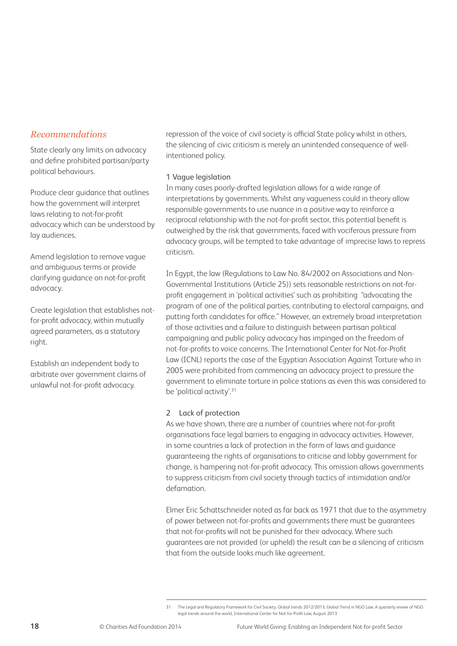#### *Recommendations*

State clearly any limits on advocacy and define prohibited partisan/party political behaviours.

Produce clear guidance that outlines how the government will interpret laws relating to not-for-profit advocacy which can be understood by lay audiences.

Amend legislation to remove vague and ambiguous terms or provide clarifying guidance on not-for-profit advocacy.

Create legislation that establishes notfor-profit advocacy, within mutually agreed parameters, as a statutory right.

Establish an independent body to arbitrate over government claims of unlawful not-for-profit advocacy.

repression of the voice of civil society is official State policy whilst in others, the silencing of civic criticism is merely an unintended consequence of wellintentioned policy.

#### 1 Vague legislation

In many cases poorly-drafted legislation allows for a wide range of interpretations by governments. Whilst any vagueness could in theory allow responsible governments to use nuance in a positive way to reinforce a reciprocal relationship with the not-for-profit sector, this potential benefit is outweighed by the risk that governments, faced with vociferous pressure from advocacy groups, will be tempted to take advantage of imprecise laws to repress criticism.

In Egypt, the law (Regulations to Law No. 84/2002 on Associations and Non-Governmental Institutions (Article 25)) sets reasonable restrictions on not-forprofit engagement in 'political activities' such as prohibiting "advocating the program of one of the political parties, contributing to electoral campaigns, and putting forth candidates for office." However, an extremely broad interpretation of those activities and a failure to distinguish between partisan political campaigning and public policy advocacy has impinged on the freedom of not-for-profits to voice concerns. The International Center for Not-for-Profit Law (ICNL) reports the case of the Egyptian Association Against Torture who in 2005 were prohibited from commencing an advocacy project to pressure the government to eliminate torture in police stations as even this was considered to be 'political activity'.31

#### 2 Lack of protection

As we have shown, there are a number of countries where not-for-profit organisations face legal barriers to engaging in advocacy activities. However, in some countries a lack of protection in the form of laws and guidance guaranteeing the rights of organisations to criticise and lobby government for change, is hampering not-for-profit advocacy. This omission allows governments to suppress criticism from civil society through tactics of intimidation and/or defamation.

Elmer Eric Schattschneider noted as far back as 1971 that due to the asymmetry of power between not-for-profits and governments there must be guarantees that not-for-profits will not be punished for their advocacy. Where such guarantees are not provided (or upheld) the result can be a silencing of criticism that from the outside looks much like agreement.

<sup>31</sup> The Legal and Regulatory Framework for Civil Society: Global trends 2012/2013, Global Trend in NGO Law: A quarterly review of NGO legal trends around the world, International Center for Not-for-Profit Law, August 2013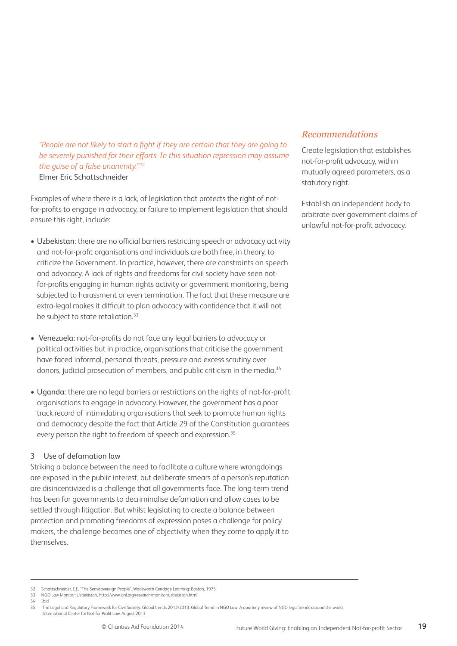*"People are not likely to start a fight if they are certain that they are going to be severely punished for their efforts. In this situation repression may assume the guise of a false unanimity."32* Elmer Eric Schattschneider

Examples of where there is a lack, of legislation that protects the right of notfor-profits to engage in advocacy, or failure to implement legislation that should ensure this right, include:

- Uzbekistan: there are no official barriers restricting speech or advocacy activity and not-for-profit organisations and individuals are both free, in theory, to criticize the Government. In practice, however, there are constraints on speech and advocacy. A lack of rights and freedoms for civil society have seen notfor-profits engaging in human rights activity or government monitoring, being subjected to harassment or even termination. The fact that these measure are extra-legal makes it difficult to plan advocacy with confidence that it will not be subject to state retaliation.<sup>33</sup>
- Venezuela: not-for-profits do not face any legal barriers to advocacy or political activities but in practice, organisations that criticise the government have faced informal, personal threats, pressure and excess scrutiny over donors, judicial prosecution of members, and public criticism in the media.<sup>34</sup>
- Uganda: there are no legal barriers or restrictions on the rights of not-for-profit organisations to engage in advocacy. However, the government has a poor track record of intimidating organisations that seek to promote human rights and democracy despite the fact that Article 29 of the Constitution guarantees every person the right to freedom of speech and expression.<sup>35</sup>

#### 3 Use of defamation law

Striking a balance between the need to facilitate a culture where wrongdoings are exposed in the public interest, but deliberate smears of a person's reputation are disincentivized is a challenge that all governments face. The long-term trend has been for governments to decriminalise defamation and allow cases to be settled through litigation. But whilst legislating to create a balance between protection and promoting freedoms of expression poses a challenge for policy makers, the challenge becomes one of objectivity when they come to apply it to themselves.

### *Recommendations*

Create legislation that establishes not-for-profit advocacy, within mutually agreed parameters, as a statutory right.

Establish an independent body to arbitrate over government claims of unlawful not-for-profit advocacy.

- 33 NGO Law Monitor: Uzbekistan, http://www.icnl.org/research/monitor/uzbekistan.html
- 34 Ibid

<sup>32</sup> Schattschneider, E.E. "The Semisovereign People". Wadsworth Cendage Learning: Boston, 1975

<sup>35</sup> The Legal and Regulatory Framework for Civil Society: Global trends 2012/2013, Global Trend in NGO Law: A quarterly review of NGO legal trends around the world, International Center for Not-for-Profit Law, August 2013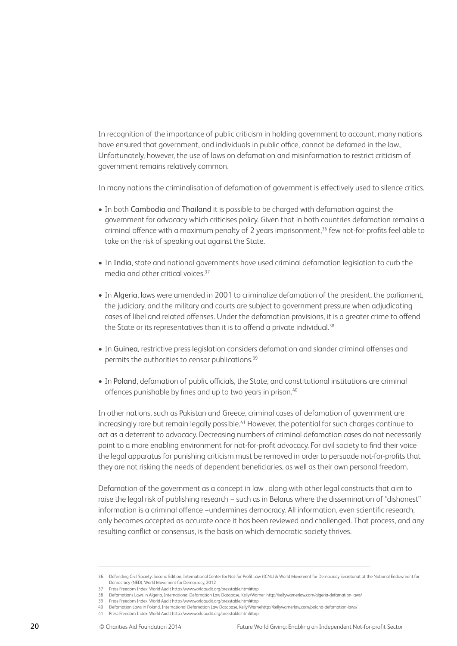In recognition of the importance of public criticism in holding government to account, many nations have ensured that government, and individuals in public office, cannot be defamed in the law., Unfortunately, however, the use of laws on defamation and misinformation to restrict criticism of government remains relatively common.

In many nations the criminalisation of defamation of government is effectively used to silence critics.

- In both Cambodia and Thailand it is possible to be charged with defamation against the government for advocacy which criticises policy. Given that in both countries defamation remains a criminal offence with a maximum penalty of 2 years imprisonment,<sup>36</sup> few not-for-profits feel able to take on the risk of speaking out against the State.
- In India, state and national governments have used criminal defamation legislation to curb the media and other critical voices.37
- In Algeria, laws were amended in 2001 to criminalize defamation of the president, the parliament, the judiciary, and the military and courts are subject to government pressure when adjudicating cases of libel and related offenses. Under the defamation provisions, it is a greater crime to offend the State or its representatives than it is to offend a private individual. $38$
- In Guinea, restrictive press legislation considers defamation and slander criminal offenses and permits the authorities to censor publications.<sup>39</sup>
- In Poland, defamation of public officials, the State, and constitutional institutions are criminal offences punishable by fines and up to two years in prison.<sup>40</sup>

In other nations, such as Pakistan and Greece, criminal cases of defamation of government are increasingly rare but remain legally possible.<sup>41</sup> However, the potential for such charges continue to act as a deterrent to advocacy. Decreasing numbers of criminal defamation cases do not necessarily point to a more enabling environment for not-for-profit advocacy. For civil society to find their voice the legal apparatus for punishing criticism must be removed in order to persuade not-for-profits that they are not risking the needs of dependent beneficiaries, as well as their own personal freedom.

Defamation of the government as a concept in law , along with other legal constructs that aim to raise the legal risk of publishing research − such as in Belarus where the dissemination of "dishonest" information is a criminal offence −undermines democracy. All information, even scientific research, only becomes accepted as accurate once it has been reviewed and challenged. That process, and any resulting conflict or consensus, is the basis on which democratic society thrives.

<sup>36</sup> Defending Civil Society: Second Edition, International Center for Not-for-Profit Law (ICNL) & World Movement for Democracy Secretariat at the National Endowment for Democracy (NED), World Movement for Democracy, 2012 37 Press Freedom Index, World Audit http://www.worldaudit.org/presstable.html#top

<sup>38</sup> Defamations Laws in Algeria, International Defamation Law Database, Kelly/Warner, http://kellywarnerlaw.com/algeria-defamation-laws/

<sup>39</sup> Press Freedom Index, World Audit http://www.worldaudit.org/presstable.html#top

<sup>40</sup> Defamation Laws in Poland, International Defamation Law Database, Kelly/Warnehttp://kellywarnerlaw.com/poland-defamation-laws/

<sup>41</sup> Press Freedom Index, World Audit http://www.worldaudit.org/presstable.html#top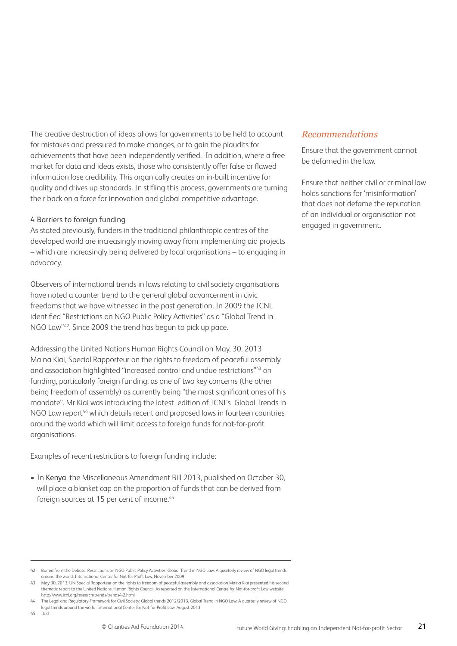The creative destruction of ideas allows for governments to be held to account for mistakes and pressured to make changes, or to gain the plaudits for achievements that have been independently verified. In addition, where a free market for data and ideas exists, those who consistently offer false or flawed information lose credibility. This organically creates an in-built incentive for quality and drives up standards. In stifling this process, governments are turning their back on a force for innovation and global competitive advantage.

#### 4 Barriers to foreign funding

As stated previously, funders in the traditional philanthropic centres of the developed world are increasingly moving away from implementing aid projects – which are increasingly being delivered by local organisations – to engaging in advocacy.

Observers of international trends in laws relating to civil society organisations have noted a counter trend to the general global advancement in civic freedoms that we have witnessed in the past generation. In 2009 the ICNL identified "Restrictions on NGO Public Policy Activities" as a "Global Trend in NGO Law"42. Since 2009 the trend has begun to pick up pace.

Addressing the United Nations Human Rights Council on May, 30, 2013 Maina Kiai, Special Rapporteur on the rights to freedom of peaceful assembly and association highlighted "increased control and undue restrictions"43 on funding, particularly foreign funding, as one of two key concerns (the other being freedom of assembly) as currently being "the most significant ones of his mandate". Mr Kiai was introducing the latest edition of ICNL's Global Trends in NGO Law report<sup>44</sup> which details recent and proposed laws in fourteen countries around the world which will limit access to foreign funds for not-for-profit organisations.

Examples of recent restrictions to foreign funding include:

• In Kenya, the Miscellaneous Amendment Bill 2013, published on October 30, will place a blanket cap on the proportion of funds that can be derived from foreign sources at 15 per cent of income.<sup>45</sup>

#### 42 Barred from the Debate: Restrictions on NGO Public Policy Activities, Global Trend in NGO Law: A quarterly review of NGO legal trends around the world, International Center for Not-for-Profit Law, November 2009

43 May 30, 2013, UN Special Rapporteur on the rights to freedom of peaceful assembly and association Maina Kiai presented his second thematic report to the United Nations Human Rights Council. As reported on the International Centre for Not-for-profit Law website http://www.icnl.org/research/trends/trends4-2.html

44 The Legal and Regulatory Framework for Civil Society: Global trends 2012/2013, Global Trend in NGO Law: A quarterly review of NGO

legal trends around the world, International Center for Not-for-Profit Law, August 2013

#### 45 Ibid

#### *Recommendations*

Ensure that the government cannot be defamed in the law.

Ensure that neither civil or criminal law holds sanctions for 'misinformation' that does not defame the reputation of an individual or organisation not engaged in government.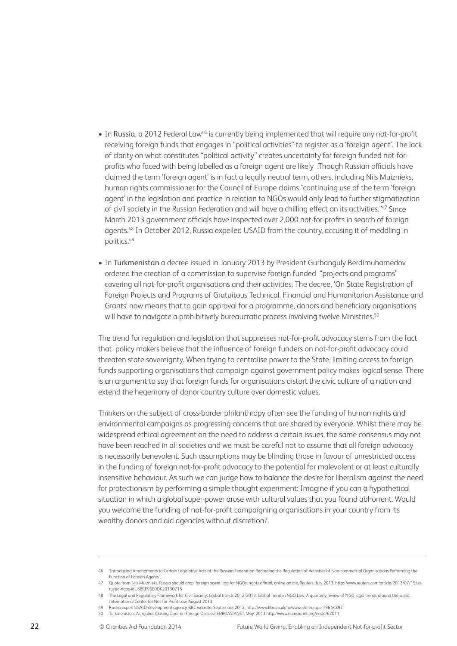- In Russia, a 2012 Federal Law46 is currently being implemented that will require any not-for-profit receiving foreign funds that engages in "political activities" to register as a 'foreign agent'. The lack of clarity on what constitutes "political activity" creates uncertainty for foreign funded not-forprofits who faced with being labelled as a foreign agent are likely .Though Russian officials have claimed the term 'foreign agent' is in fact a legally neutral term, others, including Nils Muiznieks, human rights commissioner for the Council of Europe claims "continuing use of the term 'foreign agent' in the legislation and practice in relation to NGOs would only lead to further stigmatization of civil society in the Russian Federation and will have a chilling effect on its activities."<sup>47</sup> Since March 2013 government officials have inspected over 2,000 not-for-profits in search of foreign agents.<sup>48</sup> In October 2012, Russia expelled USAID from the country, accusing it of meddling in politics.49
- In Turkmenistan a decree issued in January 2013 by President Gurbanguly Berdimuhamedov ordered the creation of a commission to supervise foreign funded "projects and programs" covering all not-for-profit organisations and their activities. The decree, 'On State Registration of Foreign Projects and Programs of Gratuitous Technical, Financial and Humanitarian Assistance and Grants' now means that to gain approval for a programme, donors and beneficiary organisations will have to navigate a prohibitively bureaucratic process involving twelve Ministries.<sup>50</sup>

The trend for regulation and legislation that suppresses not-for-profit advocacy stems from the fact that policy makers believe that the influence of foreign funders on not-for-profit advocacy could threaten state sovereignty. When trying to centralise power to the State, limiting access to foreign funds supporting organisations that campaign against government policy makes logical sense. There is an argument to say that foreign funds for organisations distort the civic culture of a nation and extend the hegemony of donor country culture over domestic values.

Thinkers on the subject of cross-border philanthropy often see the funding of human rights and environmental campaigns as progressing concerns that are shared by everyone. Whilst there may be widespread ethical agreement on the need to address a certain issues, the same consensus may not have been reached in all societies and we must be careful not to assume that all foreign advocacy is necessarily benevolent. Such assumptions may be blinding those in favour of unrestricted access in the funding of foreign not-for-profit advocacy to the potential for malevolent or at least culturally insensitive behaviour. As such we can judge how to balance the desire for liberalism against the need for protectionism by performing a simple thought experiment: Imagine if you can a hypothetical situation in which a global super-power arose with cultural values that you found abhorrent. Would you welcome the funding of not-for-profit campaigning organisations in your country from its wealthy donors and aid agencies without discretion?.

50 Turkmenistan: Ashgabat Closing Door on Foreign Donors? EUROASIANET, May, 2013 http://www.eurasianet.org/node/67011

<sup>46 &#</sup>x27;Introducing Amendments to Certain Legislative Acts of the Russian Federation Regarding the Regulation of Activities of Non-commercial Organizations Performing the Function of Foreign Agents'

<sup>47</sup> Quote from Nils Muiznieks, Russia should drop 'foreign agent' tag for NGOs: rights official, online article, Reuters, July 2013, http://www.reuters.com/article/2013/07/15/usrussia-ngos-idUSBRE96E0DK20130715

<sup>48</sup> The Legal and Regulatory Framework for Civil Society: Global trends 2012/2013, Global Trend in NGO Law: A quarterly review of NGO legal trends around the world, International Center for Not-for-Profit Law, August 2013

<sup>49</sup> Russia expels USAID development agency, BBC website, September 2012, http://www.bbc.co.uk/news/world-europe-19644897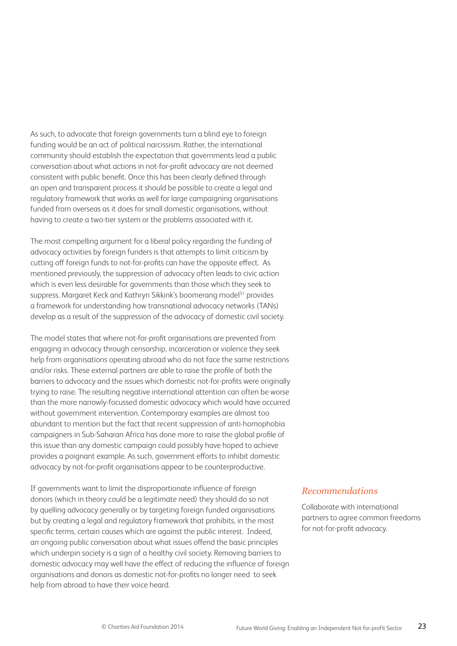As such, to advocate that foreign governments turn a blind eye to foreign funding would be an act of political narcissism. Rather, the international community should establish the expectation that governments lead a public conversation about what actions in not-for-profit advocacy are not deemed consistent with public benefit. Once this has been clearly defined through an open and transparent process it should be possible to create a legal and regulatory framework that works as well for large campaigning organisations funded from overseas as it does for small domestic organisations, without having to create a two-tier system or the problems associated with it.

The most compelling argument for a liberal policy regarding the funding of advocacy activities by foreign funders is that attempts to limit criticism by cutting off foreign funds to not-for-profits can have the opposite effect. As mentioned previously, the suppression of advocacy often leads to civic action which is even less desirable for governments than those which they seek to suppress. Margaret Keck and Kathryn Sikkink's boomerang model<sup>51</sup> provides a framework for understanding how transnational advocacy networks (TANs) develop as a result of the suppression of the advocacy of domestic civil society.

The model states that where not-for-profit organisations are prevented from engaging in advocacy through censorship, incarceration or violence they seek help from organisations operating abroad who do not face the same restrictions and/or risks. These external partners are able to raise the profile of both the barriers to advocacy and the issues which domestic not-for-profits were originally trying to raise. The resulting negative international attention can often be worse than the more narrowly-focussed domestic advocacy which would have occurred without government intervention. Contemporary examples are almost too abundant to mention but the fact that recent suppression of anti-homophobia campaigners in Sub-Saharan Africa has done more to raise the global profile of this issue than any domestic campaign could possibly have hoped to achieve provides a poignant example. As such, government efforts to inhibit domestic advocacy by not-for-profit organisations appear to be counterproductive.

If governments want to limit the disproportionate influence of foreign donors (which in theory could be a legitimate need) they should do so not by quelling advocacy generally or by targeting foreign funded organisations but by creating a legal and regulatory framework that prohibits, in the most specific terms, certain causes which are against the public interest. Indeed, an ongoing public conversation about what issues offend the basic principles which underpin society is a sign of a healthy civil society. Removing barriers to domestic advocacy may well have the effect of reducing the influence of foreign organisations and donors as domestic not-for-profits no longer need to seek help from abroad to have their voice heard.

#### *Recommendations*

Collaborate with international partners to agree common freedoms for not-for-profit advocacy.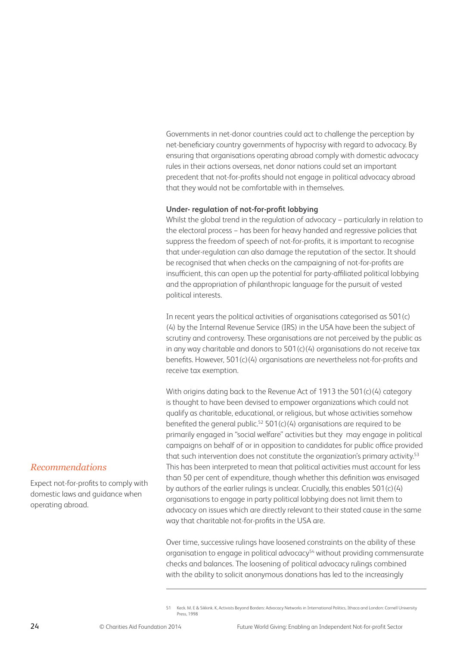Governments in net-donor countries could act to challenge the perception by net-beneficiary country governments of hypocrisy with regard to advocacy. By ensuring that organisations operating abroad comply with domestic advocacy rules in their actions overseas, net donor nations could set an important precedent that not-for-profits should not engage in political advocacy abroad that they would not be comfortable with in themselves.

#### **Under- regulation of not-for-profit lobbying**

Whilst the global trend in the regulation of advocacy − particularly in relation to the electoral process − has been for heavy handed and regressive policies that suppress the freedom of speech of not-for-profits, it is important to recognise that under-regulation can also damage the reputation of the sector. It should be recognised that when checks on the campaigning of not-for-profits are insufficient, this can open up the potential for party-affiliated political lobbying and the appropriation of philanthropic language for the pursuit of vested political interests.

In recent years the political activities of organisations categorised as 501(c) (4) by the Internal Revenue Service (IRS) in the USA have been the subject of scrutiny and controversy. These organisations are not perceived by the public as in any way charitable and donors to 501(c)(4) organisations do not receive tax benefits. However, 501(c)(4) organisations are nevertheless not-for-profits and receive tax exemption.

With origins dating back to the Revenue Act of 1913 the 501(c)(4) category is thought to have been devised to empower organizations which could not qualify as charitable, educational, or religious, but whose activities somehow benefited the general public.<sup>52</sup> 501(c)(4) organisations are required to be primarily engaged in "social welfare" activities but they may engage in political campaigns on behalf of or in opposition to candidates for public office provided that such intervention does not constitute the organization's primary activity.<sup>53</sup> This has been interpreted to mean that political activities must account for less than 50 per cent of expenditure, though whether this definition was envisaged by authors of the earlier rulings is unclear. Crucially, this enables 501(c)(4) organisations to engage in party political lobbying does not limit them to advocacy on issues which are directly relevant to their stated cause in the same way that charitable not-for-profits in the USA are.

Over time, successive rulings have loosened constraints on the ability of these organisation to engage in political advocacy<sup>54</sup> without providing commensurate checks and balances. The loosening of political advocacy rulings combined with the ability to solicit anonymous donations has led to the increasingly

#### *Recommendations*

Expect not-for-profits to comply with domestic laws and guidance when operating abroad.

<sup>51</sup> Keck. M. E & Sikkink. K, Activists Beyond Borders: Advocacy Networks in International Politics, Ithaca and London: Cornell University Press, 1998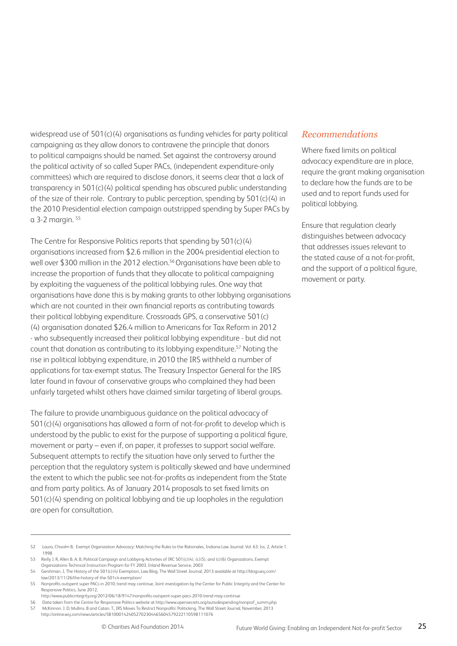widespread use of 501(c)(4) organisations as funding vehicles for party political campaigning as they allow donors to contravene the principle that donors to political campaigns should be named. Set against the controversy around the political activity of so called Super PACs, (independent expenditure-only committees) which are required to disclose donors, it seems clear that a lack of transparency in 501(c)(4) political spending has obscured public understanding of the size of their role. Contrary to public perception, spending by 501(c)(4) in the 2010 Presidential election campaign outstripped spending by Super PACs by a 3-2 margin. 55

The Centre for Responsive Politics reports that spending by 501(c)(4) organisations increased from \$2.6 million in the 2004 presidential election to well over \$300 million in the 2012 election.<sup>56</sup> Organisations have been able to increase the proportion of funds that they allocate to political campaigning by exploiting the vagueness of the political lobbying rules. One way that organisations have done this is by making grants to other lobbying organisations which are not counted in their own financial reports as contributing towards their political lobbying expenditure. Crossroads GPS, a conservative 501(c) (4) organisation donated \$26.4 million to Americans for Tax Reform in 2012 - who subsequently increased their political lobbying expenditure - but did not count that donation as contributing to its lobbying expenditure.<sup>57</sup> Noting the rise in political lobbying expenditure, in 2010 the IRS withheld a number of applications for tax-exempt status. The Treasury Inspector General for the IRS later found in favour of conservative groups who complained they had been unfairly targeted whilst others have claimed similar targeting of liberal groups.

The failure to provide unambiguous guidance on the political advocacy of 501(c)(4) organisations has allowed a form of not-for-profit to develop which is understood by the public to exist for the purpose of supporting a political figure, movement or party – even if, on paper, it professes to support social welfare. Subsequent attempts to rectify the situation have only served to further the perception that the regulatory system is politically skewed and have undermined the extent to which the public see not-for-profits as independent from the State and from party politics. As of January 2014 proposals to set fixed limits on 501(c)(4) spending on political lobbying and tie up loopholes in the regulation are open for consultation.

- 53 Reilly J. R, Allen B. A. B, Political Campaign and Lobbying Activities of IRC 501(c)(4), (c)(5), and (c)(6) Organizations, Exempt Organizations-Technical Instruction Program for FY 2003, Inland Revenue Service, 2003
- 54 Gershman. J, The History of the 501(c)(4) Exemption, Law Blog, The Wall Street Journal, 2013 available at http://blogs.wsj.com/ law/2013/11/26/the-history-of-the-501c4-exemption/
- 55 Nonprofits outspent super PACs in 2010, trend may continue, Joint investigation by the Center for Public Integrity and the Center for Responsive Politics, June 2012,
- http://www.publicintegrity.org/2012/06/18/9147/nonprofits-outspent-super-pacs-2010-trend-may-continue
- 56 Data taken from the Centre for Responsive Politics website at http://www.opensecrets.org/outsidespending/nonprof\_summ.php 57 McKinnon. J. D, Mullins. B and Catan. T., IRS Moves To Restrict Nonprofits' Politicking, The Wall Street Journal, November, 2013 http://online.wsj.com/news/articles/SB10001424052702304465604579222110598111076

#### *Recommendations*

Where fixed limits on political advocacy expenditure are in place, require the grant making organisation to declare how the funds are to be used and to report funds used for political lobbying.

Ensure that regulation clearly distinguishes between advocacy that addresses issues relevant to the stated cause of a not-for-profit, and the support of a political figure, movement or party.

<sup>52</sup> Laura, Chisolm B. Exempt Organization Advocacy: Matching the Rules to the Rationales, Indiana Law Journal: Vol. 63: Iss. 2, Article 1. 1998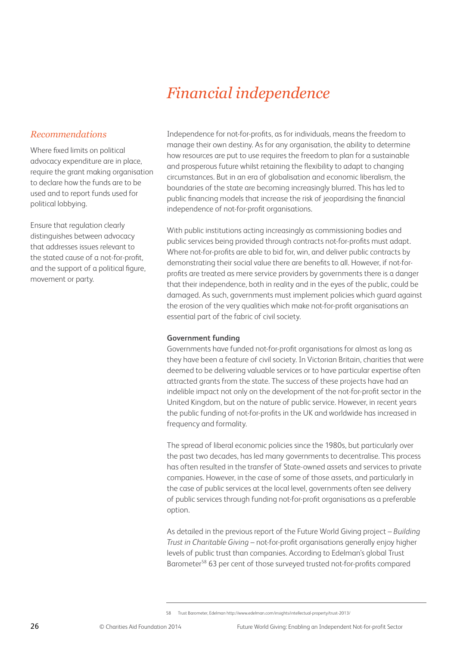## *Financial independence*

#### *Recommendations*

Where fixed limits on political advocacy expenditure are in place, require the grant making organisation to declare how the funds are to be used and to report funds used for political lobbying.

Ensure that regulation clearly distinguishes between advocacy that addresses issues relevant to the stated cause of a not-for-profit, and the support of a political figure, movement or party.

Independence for not-for-profits, as for individuals, means the freedom to manage their own destiny. As for any organisation, the ability to determine how resources are put to use requires the freedom to plan for a sustainable and prosperous future whilst retaining the flexibility to adapt to changing circumstances. But in an era of globalisation and economic liberalism, the boundaries of the state are becoming increasingly blurred. This has led to public financing models that increase the risk of jeopardising the financial independence of not-for-profit organisations.

With public institutions acting increasingly as commissioning bodies and public services being provided through contracts not-for-profits must adapt. Where not-for-profits are able to bid for, win, and deliver public contracts by demonstrating their social value there are benefits to all. However, if not-forprofits are treated as mere service providers by governments there is a danger that their independence, both in reality and in the eyes of the public, could be damaged. As such, governments must implement policies which guard against the erosion of the very qualities which make not-for-profit organisations an essential part of the fabric of civil society.

#### **Government funding**

Governments have funded not-for-profit organisations for almost as long as they have been a feature of civil society. In Victorian Britain, charities that were deemed to be delivering valuable services or to have particular expertise often attracted grants from the state. The success of these projects have had an indelible impact not only on the development of the not-for-profit sector in the United Kingdom, but on the nature of public service. However, in recent years the public funding of not-for-profits in the UK and worldwide has increased in frequency and formality.

The spread of liberal economic policies since the 1980s, but particularly over the past two decades, has led many governments to decentralise. This process has often resulted in the transfer of State-owned assets and services to private companies. However, in the case of some of those assets, and particularly in the case of public services at the local level, governments often see delivery of public services through funding not-for-profit organisations as a preferable option.

As detailed in the previous report of the Future World Giving project – *Building Trust in Charitable Giving* – not-for-profit organisations generally enjoy higher levels of public trust than companies. According to Edelman's global Trust Barometer<sup>58</sup> 63 per cent of those surveyed trusted not-for-profits compared

<sup>58</sup> Trust Barometer, Edelman http://www.edelman.com/insights/intellectual-property/trust-2013/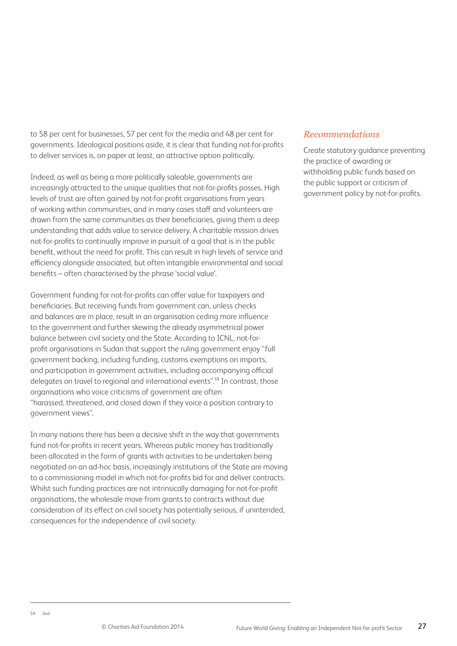to 58 per cent for businesses, 57 per cent for the media and 48 per cent for governments. Ideological positions aside, it is clear that funding not-for-profits to deliver services is, on paper at least, an attractive option politically.

Indeed, as well as being a more politically saleable, governments are increasingly attracted to the unique qualities that not-for-profits posses. High levels of trust are often gained by not-for-profit organisations from years of working within communities, and in many cases staff and volunteers are drawn from the same communities as their beneficiaries, giving them a deep understanding that adds value to service delivery. A charitable mission drives not-for-profits to continually improve in pursuit of a goal that is in the public benefit, without the need for profit. This can result in high levels of service and efficiency alongside associated, but often intangible environmental and social benefits – often characterised by the phrase 'social value'.

Government funding for not-for-profits can offer value for taxpayers and beneficiaries. But receiving funds from government can, unless checks and balances are in place, result in an organisation ceding more influence to the government and further skewing the already asymmetrical power balance between civil society and the State. According to ICNL, not-forprofit organisations in Sudan that support the ruling government enjoy "full government backing, including funding, customs exemptions on imports, and participation in government activities, including accompanying official delegates on travel to regional and international events".59 In contrast, those organisations who voice criticisms of government are often "harassed, threatened, and closed down if they voice a position contrary to government views".

In many nations there has been a decisive shift in the way that governments fund not-for-profits in recent years. Whereas public money has traditionally been allocated in the form of grants with activities to be undertaken being negotiated on an ad-hoc basis, increasingly institutions of the State are moving to a commissioning model in which not-for-profits bid for and deliver contracts. Whilst such funding practices are not intrinsically damaging for not-for-profit organisations, the wholesale move from grants to contracts without due consideration of its effect on civil society has potentially serious, if unintended, consequences for the independence of civil society.

#### *Recommendations*

Create statutory guidance preventing the practice of awarding or withholding public funds based on the public support or criticism of government policy by not-for-profits.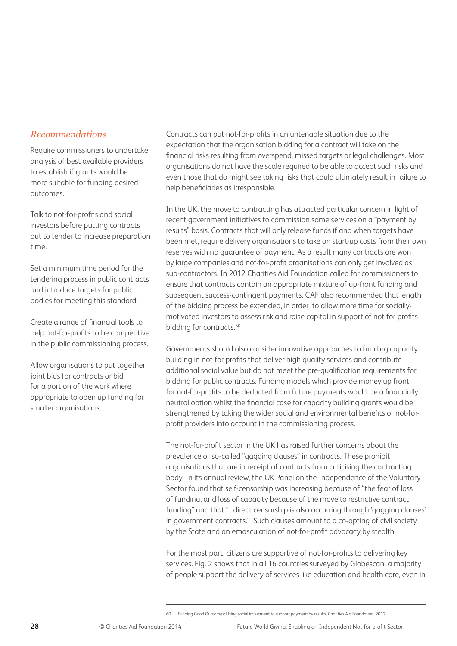#### *Recommendations*

Require commissioners to undertake analysis of best available providers to establish if grants would be more suitable for funding desired outcomes.

Talk to not-for-profits and social investors before putting contracts out to tender to increase preparation time.

Set a minimum time period for the tendering process in public contracts and introduce targets for public bodies for meeting this standard.

Create a range of financial tools to help not-for-profits to be competitive in the public commissioning process.

Allow organisations to put together joint bids for contracts or bid for a portion of the work where appropriate to open up funding for smaller organisations.

Contracts can put not-for-profits in an untenable situation due to the expectation that the organisation bidding for a contract will take on the financial risks resulting from overspend, missed targets or legal challenges. Most organisations do not have the scale required to be able to accept such risks and even those that do might see taking risks that could ultimately result in failure to help beneficiaries as irresponsible.

In the UK, the move to contracting has attracted particular concern in light of recent government initiatives to commission some services on a "payment by results" basis. Contracts that will only release funds if and when targets have been met, require delivery organisations to take on start-up costs from their own reserves with no guarantee of payment. As a result many contracts are won by large companies and not-for-profit organisations can only get involved as sub-contractors. In 2012 Charities Aid Foundation called for commissioners to ensure that contracts contain an appropriate mixture of up-front funding and subsequent success-contingent payments. CAF also recommended that length of the bidding process be extended, in order to allow more time for sociallymotivated investors to assess risk and raise capital in support of not-for-profits bidding for contracts.<sup>60</sup>

Governments should also consider innovative approaches to funding capacity building in not-for-profits that deliver high quality services and contribute additional social value but do not meet the pre-qualification requirements for bidding for public contracts. Funding models which provide money up front for not-for-profits to be deducted from future payments would be a financially neutral option whilst the financial case for capacity building grants would be strengthened by taking the wider social and environmental benefits of not-forprofit providers into account in the commissioning process.

The not-for-profit sector in the UK has raised further concerns about the prevalence of so-called "gagging clauses" in contracts. These prohibit organisations that are in receipt of contracts from criticising the contracting body. In its annual review, the UK Panel on the Independence of the Voluntary Sector found that self-censorship was increasing because of "the fear of loss of funding, and loss of capacity because of the move to restrictive contract funding" and that "...direct censorship is also occurring through 'gagging clauses' in government contracts." Such clauses amount to a co-opting of civil society by the State and an emasculation of not-for-profit advocacy by stealth.

For the most part, citizens are supportive of not-for-profits to delivering key services. Fig. 2 shows that in all 16 countries surveyed by Globescan, a majority of people support the delivery of services like education and health care, even in

<sup>60</sup> Funding Good Outcomes: Using social investment to support payment by results, Charities Aid Foundation, 2012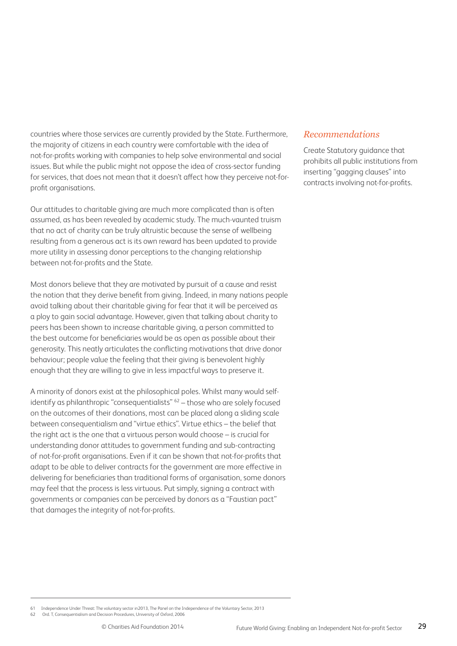countries where those services are currently provided by the State. Furthermore, the majority of citizens in each country were comfortable with the idea of not-for-profits working with companies to help solve environmental and social issues. But while the public might not oppose the idea of cross-sector funding for services, that does not mean that it doesn't affect how they perceive not-forprofit organisations.

Our attitudes to charitable giving are much more complicated than is often assumed, as has been revealed by academic study. The much-vaunted truism that no act of charity can be truly altruistic because the sense of wellbeing resulting from a generous act is its own reward has been updated to provide more utility in assessing donor perceptions to the changing relationship between not-for-profits and the State.

Most donors believe that they are motivated by pursuit of a cause and resist the notion that they derive benefit from giving. Indeed, in many nations people avoid talking about their charitable giving for fear that it will be perceived as a ploy to gain social advantage. However, given that talking about charity to peers has been shown to increase charitable giving, a person committed to the best outcome for beneficiaries would be as open as possible about their generosity. This neatly articulates the conflicting motivations that drive donor behaviour; people value the feeling that their giving is benevolent highly enough that they are willing to give in less impactful ways to preserve it.

A minority of donors exist at the philosophical poles. Whilst many would selfidentify as philanthropic "consequentialists"  $62 -$  those who are solely focused on the outcomes of their donations, most can be placed along a sliding scale between consequentialism and "virtue ethics". Virtue ethics – the belief that the right act is the one that a virtuous person would choose – is crucial for understanding donor attitudes to government funding and sub-contracting of not-for-profit organisations. Even if it can be shown that not-for-profits that adapt to be able to deliver contracts for the government are more effective in delivering for beneficiaries than traditional forms of organisation, some donors may feel that the process is less virtuous. Put simply, signing a contract with governments or companies can be perceived by donors as a "Faustian pact" that damages the integrity of not-for-profits.

#### *Recommendations*

Create Statutory guidance that prohibits all public institutions from inserting "gagging clauses" into contracts involving not-for-profits.

62 Ord. T, Consequentialism and Decision Procedures, University of Oxford, 2006

<sup>61</sup> Independence Under Threat: The voluntary sector in2013, The Panel on the Independence of the Voluntary Sector, 2013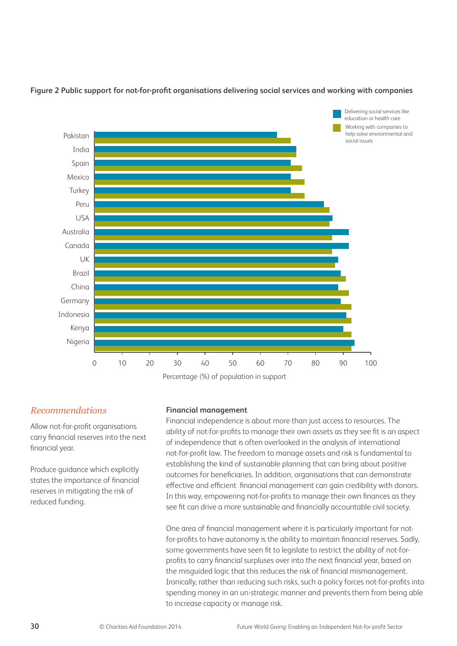

#### **Figure 2 Public support for not-for-profit organisations delivering social services and working with companies**

Percentage (%) of population in support

#### *Recommendations*

Allow not-for-profit organisations carry financial reserves into the next financial year.

Produce guidance which explicitly states the importance of financial reserves in mitigating the risk of reduced funding.

#### **Financial management**

Financial independence is about more than just access to resources. The ability of not-for-profits to manage their own assets as they see fit is an aspect of independence that is often overlooked in the analysis of international not-for-profit law. The freedom to manage assets and risk is fundamental to establishing the kind of sustainable planning that can bring about positive outcomes for beneficiaries. In addition, organisations that can demonstrate effective and efficient financial management can gain credibility with donors. In this way, empowering not-for-profits to manage their own finances as they see fit can drive a more sustainable and financially accountable civil society.

One area of financial management where it is particularly important for notfor-profits to have autonomy is the ability to maintain financial reserves. Sadly, some governments have seen fit to legislate to restrict the ability of not-forprofits to carry financial surpluses over into the next financial year, based on the misguided logic that this reduces the risk of financial mismanagement. Ironically, rather than reducing such risks, such a policy forces not-for-profits into spending money in an un-strategic manner and prevents them from being able to increase capacity or manage risk.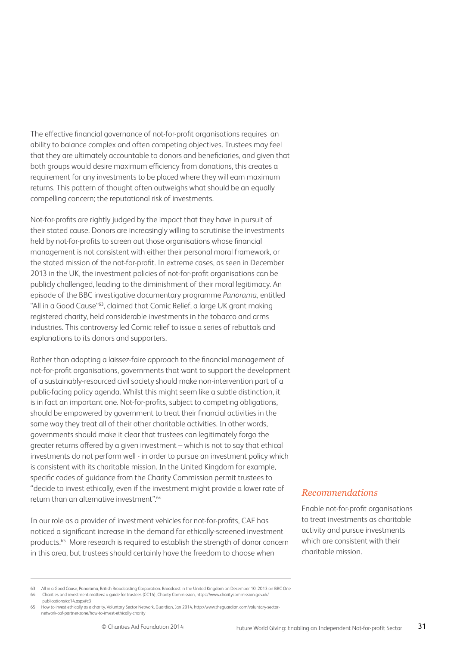The effective financial governance of not-for-profit organisations requires an ability to balance complex and often competing objectives. Trustees may feel that they are ultimately accountable to donors and beneficiaries, and given that both groups would desire maximum efficiency from donations, this creates a requirement for any investments to be placed where they will earn maximum returns. This pattern of thought often outweighs what should be an equally compelling concern; the reputational risk of investments.

Not-for-profits are rightly judged by the impact that they have in pursuit of their stated cause. Donors are increasingly willing to scrutinise the investments held by not-for-profits to screen out those organisations whose financial management is not consistent with either their personal moral framework, or the stated mission of the not-for-profit. In extreme cases, as seen in December 2013 in the UK, the investment policies of not-for-profit organisations can be publicly challenged, leading to the diminishment of their moral legitimacy. An episode of the BBC investigative documentary programme *Panorama*, entitled "All in a Good Cause"<sup>63</sup>, claimed that Comic Relief, a large UK grant making registered charity, held considerable investments in the tobacco and arms industries. This controversy led Comic relief to issue a series of rebuttals and explanations to its donors and supporters.

Rather than adopting a laissez-faire approach to the financial management of not-for-profit organisations, governments that want to support the development of a sustainably-resourced civil society should make non-intervention part of a public-facing policy agenda. Whilst this might seem like a subtle distinction, it is in fact an important one. Not-for-profits, subject to competing obligations, should be empowered by government to treat their financial activities in the same way they treat all of their other charitable activities. In other words, governments should make it clear that trustees can legitimately forgo the greater returns offered by a given investment – which is not to say that ethical investments do not perform well - in order to pursue an investment policy which is consistent with its charitable mission. In the United Kingdom for example, specific codes of guidance from the Charity Commission permit trustees to "decide to invest ethically, even if the investment might provide a lower rate of return than an alternative investment".64

In our role as a provider of investment vehicles for not-for-profits, CAF has noticed a significant increase in the demand for ethically-screened investment products.65 More research is required to establish the strength of donor concern in this area, but trustees should certainly have the freedom to choose when

#### *Recommendations*

Enable not-for-profit organisations to treat investments as charitable activity and pursue investments which are consistent with their charitable mission.

<sup>63</sup> All in a Good Cause, Panorama, British Broadcasting Corporation. Broadcast in the United Kingdom on December 10, 2013 on BBC One 64 Charities and investment matters: a guide for trustees (CC14), Charity Commission, https://www.charitycommission.gov.uk/ publications/cc14.aspx#c3

<sup>65</sup> How to invest ethically as a charity, Voluntary Sector Network, Guardian, Jan 2014, http://www.theguardian.com/voluntary-sectornetwork-caf-partner-zone/how-to-invest-ethically-charity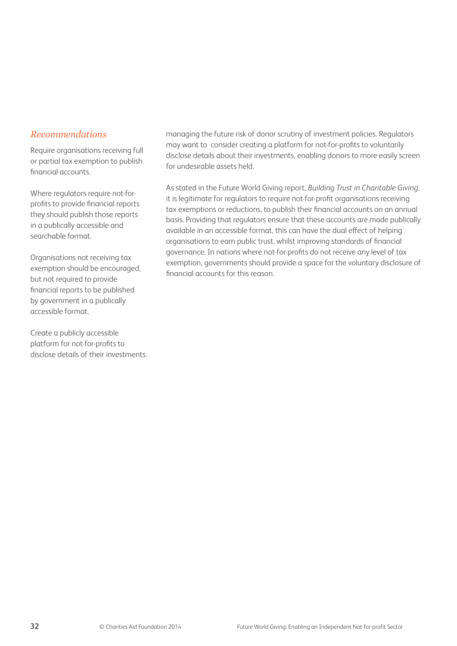#### *Recommendations*

Require organisations receiving full or partial tax exemption to publish financial accounts.

Where regulators require not-forprofits to provide financial reports they should publish those reports in a publically accessible and searchable format.

Organisations not receiving tax exemption should be encouraged, but not required to provide financial reports to be published by government in a publically accessible format.

Create a publicly accessible platform for not-for-profits to disclose details of their investments. managing the future risk of donor scrutiny of investment policies. Regulators may want to consider creating a platform for not-for-profits to voluntarily disclose details about their investments, enabling donors to more easily screen for undesirable assets held.

As stated in the Future World Giving report, *Building Trust in Charitable Giving*, it is legitimate for regulators to require not-for-profit organisations receiving tax exemptions or reductions, to publish their financial accounts on an annual basis. Providing that regulators ensure that these accounts are made publically available in an accessible format, this can have the dual effect of helping organisations to earn public trust, whilst improving standards of financial governance. In nations where not-for-profits do not receive any level of tax exemption, governments should provide a space for the voluntary disclosure of financial accounts for this reason.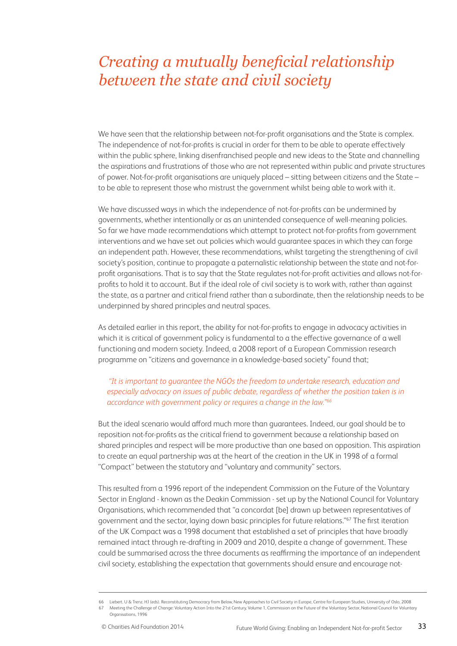### *Creating a mutually beneficial relationship between the state and civil society*

We have seen that the relationship between not-for-profit organisations and the State is complex. The independence of not-for-profits is crucial in order for them to be able to operate effectively within the public sphere, linking disenfranchised people and new ideas to the State and channelling the aspirations and frustrations of those who are not represented within public and private structures of power. Not-for-profit organisations are uniquely placed – sitting between citizens and the State – to be able to represent those who mistrust the government whilst being able to work with it.

We have discussed ways in which the independence of not-for-profits can be undermined by governments, whether intentionally or as an unintended consequence of well-meaning policies. So far we have made recommendations which attempt to protect not-for-profits from government interventions and we have set out policies which would guarantee spaces in which they can forge an independent path. However, these recommendations, whilst targeting the strengthening of civil society's position, continue to propagate a paternalistic relationship between the state and not-forprofit organisations. That is to say that the State regulates not-for-profit activities and allows not-forprofits to hold it to account. But if the ideal role of civil society is to work with, rather than against the state, as a partner and critical friend rather than a subordinate, then the relationship needs to be underpinned by shared principles and neutral spaces.

As detailed earlier in this report, the ability for not-for-profits to engage in advocacy activities in which it is critical of government policy is fundamental to a the effective governance of a well functioning and modern society. Indeed, a 2008 report of a European Commission research programme on "citizens and governance in a knowledge-based society" found that;

#### *"It is important to guarantee the NGOs the freedom to undertake research, education and especially advocacy on issues of public debate, regardless of whether the position taken is in accordance with government policy or requires a change in the law."66*

But the ideal scenario would afford much more than guarantees. Indeed, our goal should be to reposition not-for-profits as the critical friend to government because a relationship based on shared principles and respect will be more productive than one based on opposition. This aspiration to create an equal partnership was at the heart of the creation in the UK in 1998 of a formal "Compact" between the statutory and "voluntary and community" sectors.

This resulted from a 1996 report of the independent Commission on the Future of the Voluntary Sector in England - known as the Deakin Commission - set up by the National Council for Voluntary Organisations, which recommended that "a concordat [be] drawn up between representatives of government and the sector, laying down basic principles for future relations."67 The first iteration of the UK Compact was a 1998 document that established a set of principles that have broadly remained intact through re-drafting in 2009 and 2010, despite a change of government. These could be summarised across the three documents as reaffirming the importance of an independent civil society, establishing the expectation that governments should ensure and encourage not-

<sup>66</sup> Liebert. U & Trenz. HJ (eds). Reconstituting Democracy from Below, New Approaches to Civil Society in Europe, Centre for European Studies, University of Oslo, 2008 67 Meeting the Challenge of Change: Voluntary Action Into the 21st Century, Volume 1, Commission on the Future of the Voluntary Sector, National Council for Voluntary Organisations, 1996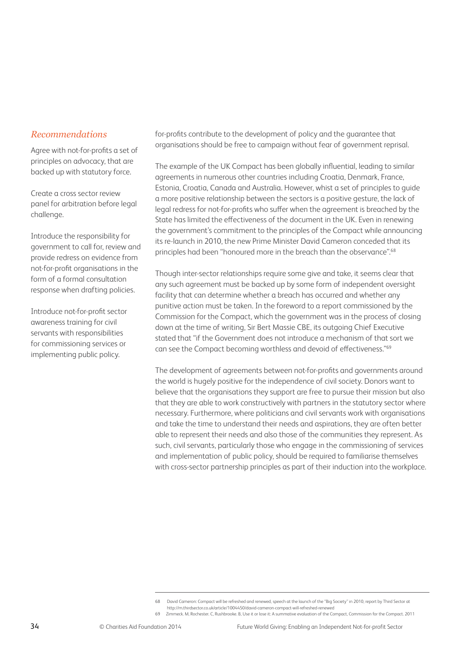#### *Recommendations*

Agree with not-for-profits a set of principles on advocacy, that are backed up with statutory force.

Create a cross sector review panel for arbitration before legal challenge.

Introduce the responsibility for government to call for, review and provide redress on evidence from not-for-profit organisations in the form of a formal consultation response when drafting policies.

Introduce not-for-profit sector awareness training for civil servants with responsibilities for commissioning services or implementing public policy.

for-profits contribute to the development of policy and the guarantee that organisations should be free to campaign without fear of government reprisal.

The example of the UK Compact has been globally influential, leading to similar agreements in numerous other countries including Croatia, Denmark, France, Estonia, Croatia, Canada and Australia. However, whist a set of principles to guide a more positive relationship between the sectors is a positive gesture, the lack of legal redress for not-for-profits who suffer when the agreement is breached by the State has limited the effectiveness of the document in the UK. Even in renewing the government's commitment to the principles of the Compact while announcing its re-launch in 2010, the new Prime Minister David Cameron conceded that its principles had been "honoured more in the breach than the observance".<sup>68</sup>

Though inter-sector relationships require some give and take, it seems clear that any such agreement must be backed up by some form of independent oversight facility that can determine whether a breach has occurred and whether any punitive action must be taken. In the foreword to a report commissioned by the Commission for the Compact, which the government was in the process of closing down at the time of writing, Sir Bert Massie CBE, its outgoing Chief Executive stated that "if the Government does not introduce a mechanism of that sort we can see the Compact becoming worthless and devoid of effectiveness."69

The development of agreements between not-for-profits and governments around the world is hugely positive for the independence of civil society. Donors want to believe that the organisations they support are free to pursue their mission but also that they are able to work constructively with partners in the statutory sector where necessary. Furthermore, where politicians and civil servants work with organisations and take the time to understand their needs and aspirations, they are often better able to represent their needs and also those of the communities they represent. As such, civil servants, particularly those who engage in the commissioning of services and implementation of public policy, should be required to familiarise themselves with cross-sector partnership principles as part of their induction into the workplace.

<sup>68</sup> David Cameron: Compact will be refreshed and renewed, speech at the launch of the "Big Society" in 2010, report by Third Sector at http://m.thirdsector.co.uk/article/1004450/david-cameron-compact-will-refreshed-renewed

<sup>69</sup> Zimmeck. M, Rochester. C, Rushbrooke. B, Use it or lose it: A summative evaluation of the Compact, Commission for the Compact. 2011